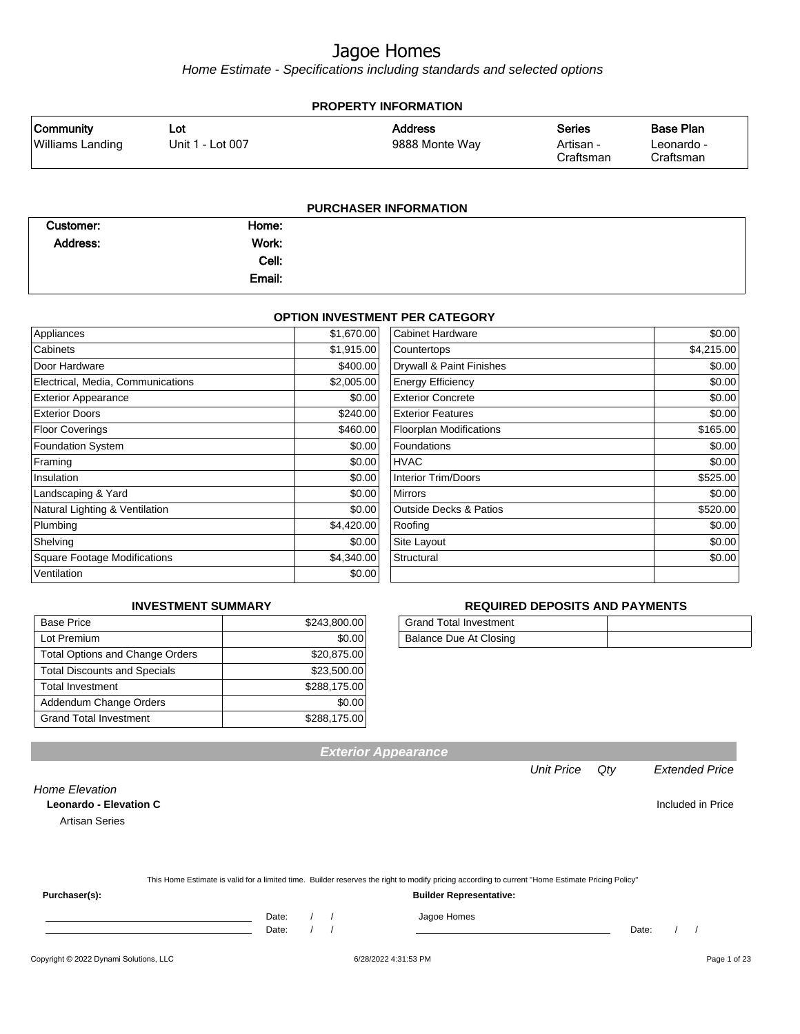Home Estimate - Specifications including standards and selected options

| <b>PROPERTY INFORMATION</b>                 |                         |                                  |                                         |                                             |  |  |
|---------------------------------------------|-------------------------|----------------------------------|-----------------------------------------|---------------------------------------------|--|--|
| <b>Community</b><br><b>Williams Landing</b> | Lot<br>Unit 1 - Lot 007 | <b>Address</b><br>9888 Monte Way | <b>Series</b><br>Artisan -<br>Craftsman | <b>Base Plan</b><br>Leonardo -<br>Craftsman |  |  |
| <b>PURCHASER INFORMATION</b>                |                         |                                  |                                         |                                             |  |  |

| Customer:       | Home:  |  |
|-----------------|--------|--|
| <b>Address:</b> | Work:  |  |
|                 | Cell:  |  |
|                 | Email: |  |

#### **OPTION INVESTMENT PER CATEGORY**

| Appliances                          | \$1,670.00 | Cabinet Hardware                  | \$0.00     |
|-------------------------------------|------------|-----------------------------------|------------|
| Cabinets                            | \$1,915.00 | Countertops                       | \$4,215.00 |
| Door Hardware                       | \$400.00   | Drywall & Paint Finishes          | \$0.00     |
| Electrical, Media, Communications   | \$2,005.00 | <b>Energy Efficiency</b>          | \$0.00     |
| <b>Exterior Appearance</b>          | \$0.00     | <b>Exterior Concrete</b>          | \$0.00     |
| <b>Exterior Doors</b>               | \$240.00   | <b>Exterior Features</b>          | \$0.00     |
| <b>Floor Coverings</b>              | \$460.00   | <b>Floorplan Modifications</b>    | \$165.00   |
| <b>Foundation System</b>            | \$0.00     | <b>Foundations</b>                | \$0.00     |
| Framing                             | \$0.00     | <b>HVAC</b>                       | \$0.00     |
| Insulation                          | \$0.00     | Interior Trim/Doors               | \$525.00   |
| Landscaping & Yard                  | \$0.00     | <b>Mirrors</b>                    | \$0.00     |
| Natural Lighting & Ventilation      | \$0.00     | <b>Outside Decks &amp; Patios</b> | \$520.00   |
| Plumbing                            | \$4,420.00 | Roofing                           | \$0.00     |
| Shelving                            | \$0.00     | Site Layout                       | \$0.00     |
| <b>Square Footage Modifications</b> | \$4,340.00 | Structural                        | \$0.00     |
| Ventilation                         | \$0.00     |                                   |            |

#### **INVESTMENT SUMMARY**

| <b>Base Price</b>                      | \$243,800.00 |
|----------------------------------------|--------------|
| Lot Premium                            | \$0.00       |
| <b>Total Options and Change Orders</b> | \$20,875.00  |
| <b>Total Discounts and Specials</b>    | \$23,500.00  |
| <b>Total Investment</b>                | \$288,175.00 |
| Addendum Change Orders                 | \$0.00       |
| <b>Grand Total Investment</b>          | \$288,175.00 |

#### **REQUIRED DEPOSITS AND PAYMENTS**

| <b>Grand Total Investment</b> |  |
|-------------------------------|--|
| Balance Due At Closing        |  |

| ome Elevation                 |                   |
|-------------------------------|-------------------|
| <b>Leonardo - Elevation C</b> | Included in Price |
| $A$ at $A = A$                |                   |

This Home Estimate is valid for a limited time. Builder reserves the right to modify pricing according to current "Home Estimate Pricing Policy"

**Exterior Appearance**

**Purchaser(s): Builder Representative:**

Home Elevation

Artisan Series

Date: / / Jagoe Homes

Date: / / Date: / /

Unit Price Qty Extended Price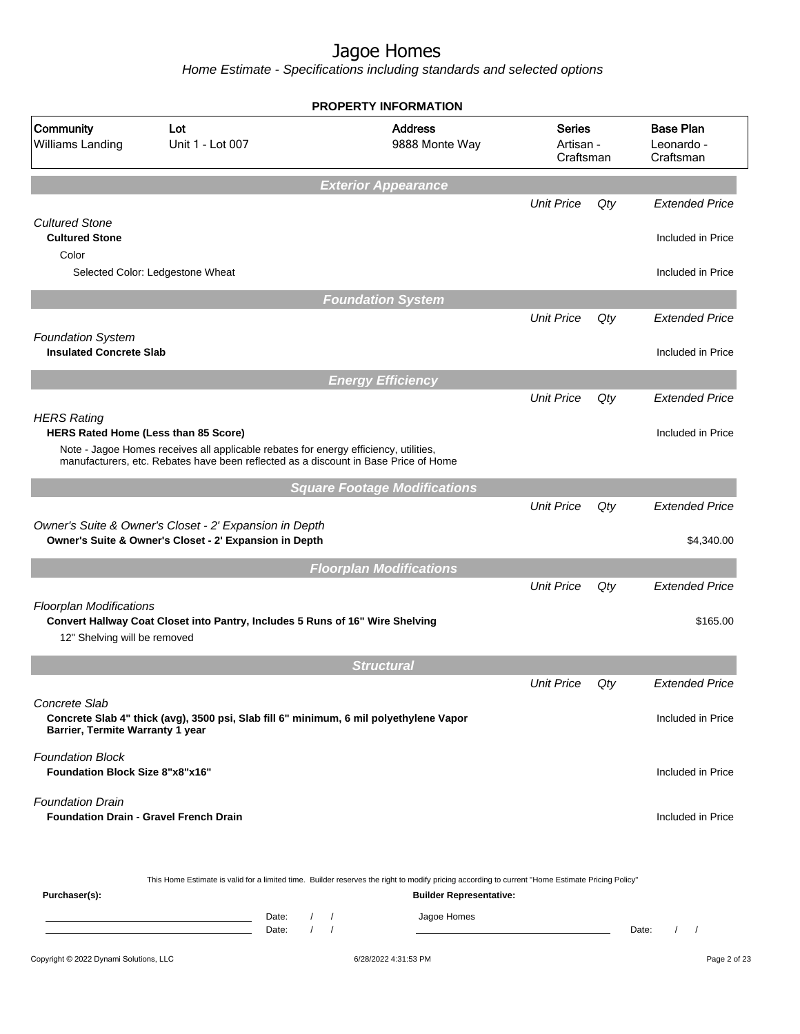|                                                                   |                                                                                                                  | <b>PROPERTY INFORMATION</b>                                                                                                                                                        |                                         |     |                                             |
|-------------------------------------------------------------------|------------------------------------------------------------------------------------------------------------------|------------------------------------------------------------------------------------------------------------------------------------------------------------------------------------|-----------------------------------------|-----|---------------------------------------------|
| Community<br>Williams Landing                                     | Lot<br>Unit 1 - Lot 007                                                                                          | <b>Address</b><br>9888 Monte Way                                                                                                                                                   | <b>Series</b><br>Artisan -<br>Craftsman |     | <b>Base Plan</b><br>Leonardo -<br>Craftsman |
|                                                                   |                                                                                                                  | <b>Exterior Appearance</b>                                                                                                                                                         |                                         |     |                                             |
|                                                                   |                                                                                                                  |                                                                                                                                                                                    | <b>Unit Price</b>                       | Qty | <b>Extended Price</b>                       |
| <b>Cultured Stone</b><br><b>Cultured Stone</b>                    |                                                                                                                  |                                                                                                                                                                                    |                                         |     | Included in Price                           |
| Color                                                             |                                                                                                                  |                                                                                                                                                                                    |                                         |     |                                             |
|                                                                   | Selected Color: Ledgestone Wheat                                                                                 |                                                                                                                                                                                    |                                         |     | Included in Price                           |
|                                                                   |                                                                                                                  | <b>Foundation System</b>                                                                                                                                                           |                                         |     |                                             |
|                                                                   |                                                                                                                  |                                                                                                                                                                                    | <b>Unit Price</b>                       | Qty | <b>Extended Price</b>                       |
| <b>Foundation System</b>                                          |                                                                                                                  |                                                                                                                                                                                    |                                         |     |                                             |
| <b>Insulated Concrete Slab</b>                                    |                                                                                                                  |                                                                                                                                                                                    |                                         |     | Included in Price                           |
|                                                                   |                                                                                                                  | <b>Energy Efficiency</b>                                                                                                                                                           |                                         |     |                                             |
|                                                                   |                                                                                                                  |                                                                                                                                                                                    | <b>Unit Price</b>                       | Qty | <b>Extended Price</b>                       |
| <b>HERS Rating</b>                                                | <b>HERS Rated Home (Less than 85 Score)</b>                                                                      |                                                                                                                                                                                    |                                         |     | Included in Price                           |
|                                                                   | Note - Jagoe Homes receives all applicable rebates for energy efficiency, utilities,                             |                                                                                                                                                                                    |                                         |     |                                             |
|                                                                   | manufacturers, etc. Rebates have been reflected as a discount in Base Price of Home                              |                                                                                                                                                                                    |                                         |     |                                             |
|                                                                   |                                                                                                                  | <b>Square Footage Modifications</b>                                                                                                                                                |                                         |     |                                             |
|                                                                   |                                                                                                                  |                                                                                                                                                                                    | <b>Unit Price</b>                       | Qty | <b>Extended Price</b>                       |
|                                                                   | Owner's Suite & Owner's Closet - 2' Expansion in Depth<br>Owner's Suite & Owner's Closet - 2' Expansion in Depth |                                                                                                                                                                                    |                                         |     | \$4,340.00                                  |
|                                                                   |                                                                                                                  | <b>Floorplan Modifications</b>                                                                                                                                                     |                                         |     |                                             |
|                                                                   |                                                                                                                  |                                                                                                                                                                                    | <b>Unit Price</b>                       | Qty | <b>Extended Price</b>                       |
| <b>Floorplan Modifications</b><br>12" Shelving will be removed    | Convert Hallway Coat Closet into Pantry, Includes 5 Runs of 16" Wire Shelving                                    |                                                                                                                                                                                    |                                         |     | \$165.00                                    |
|                                                                   |                                                                                                                  | <b>Structural</b>                                                                                                                                                                  |                                         |     |                                             |
|                                                                   |                                                                                                                  |                                                                                                                                                                                    | <b>Unit Price</b>                       | Qty | <b>Extended Price</b>                       |
| Concrete Slab<br>Barrier, Termite Warranty 1 year                 | Concrete Slab 4" thick (avg), 3500 psi, Slab fill 6" minimum, 6 mil polyethylene Vapor                           |                                                                                                                                                                                    |                                         |     | Included in Price                           |
| <b>Foundation Block</b><br><b>Foundation Block Size 8"x8"x16"</b> |                                                                                                                  |                                                                                                                                                                                    |                                         |     | Included in Price                           |
| <b>Foundation Drain</b>                                           | <b>Foundation Drain - Gravel French Drain</b>                                                                    |                                                                                                                                                                                    |                                         |     | Included in Price                           |
| Purchaser(s):                                                     |                                                                                                                  | This Home Estimate is valid for a limited time. Builder reserves the right to modify pricing according to current "Home Estimate Pricing Policy"<br><b>Builder Representative:</b> |                                         |     |                                             |
|                                                                   | Date:<br>the control of the control of the control of the control of the control of<br>$\sqrt{ }$<br>Date:       | Jagoe Homes<br>$\left  \right $<br>$\sqrt{ }$                                                                                                                                      |                                         |     | $\sqrt{ }$<br>Date:<br>$\prime$             |
| Copyright © 2022 Dynami Solutions, LLC                            |                                                                                                                  | 6/28/2022 4:31:53 PM                                                                                                                                                               |                                         |     | Page 2 of 23                                |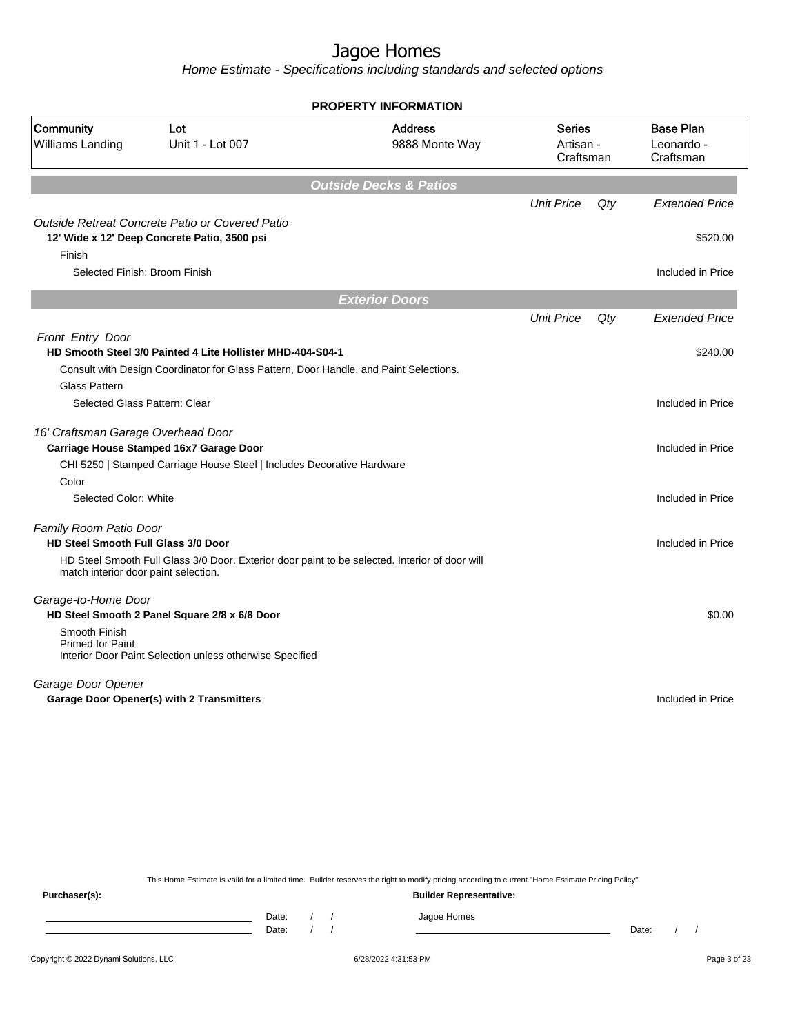Home Estimate - Specifications including standards and selected options

| <b>PROPERTY INFORMATION</b>                                                                    |                                  |     |                                             |
|------------------------------------------------------------------------------------------------|----------------------------------|-----|---------------------------------------------|
| <b>Address</b><br>9888 Monte Way                                                               | Series<br>Artisan -<br>Craftsman |     | <b>Base Plan</b><br>Leonardo -<br>Craftsman |
| <b>Outside Decks &amp; Patios</b>                                                              |                                  |     |                                             |
|                                                                                                | <b>Unit Price</b>                | Qty | <b>Extended Price</b>                       |
|                                                                                                |                                  |     | \$520.00                                    |
|                                                                                                |                                  |     | Included in Price                           |
|                                                                                                |                                  |     |                                             |
|                                                                                                | <b>Unit Price</b>                | Qty | <b>Extended Price</b>                       |
| Consult with Design Coordinator for Glass Pattern, Door Handle, and Paint Selections.          |                                  |     | \$240.00                                    |
|                                                                                                |                                  |     |                                             |
|                                                                                                |                                  |     | Included in Price                           |
|                                                                                                |                                  |     | Included in Price                           |
|                                                                                                |                                  |     |                                             |
|                                                                                                |                                  |     | Included in Price                           |
|                                                                                                |                                  |     | Included in Price                           |
| HD Steel Smooth Full Glass 3/0 Door. Exterior door paint to be selected. Interior of door will |                                  |     |                                             |
|                                                                                                |                                  |     | \$0.00                                      |
|                                                                                                |                                  |     |                                             |
|                                                                                                |                                  |     | Included in Price                           |
|                                                                                                |                                  |     |                                             |

This Home Estimate is valid for a limited time. Builder reserves the right to modify pricing according to current "Home Estimate Pricing Policy"

**Purchaser(s): Builder Representative:** Date: / / Jagoe Homes<br>Date: / / Jagoe Homes Date: / / Date: / /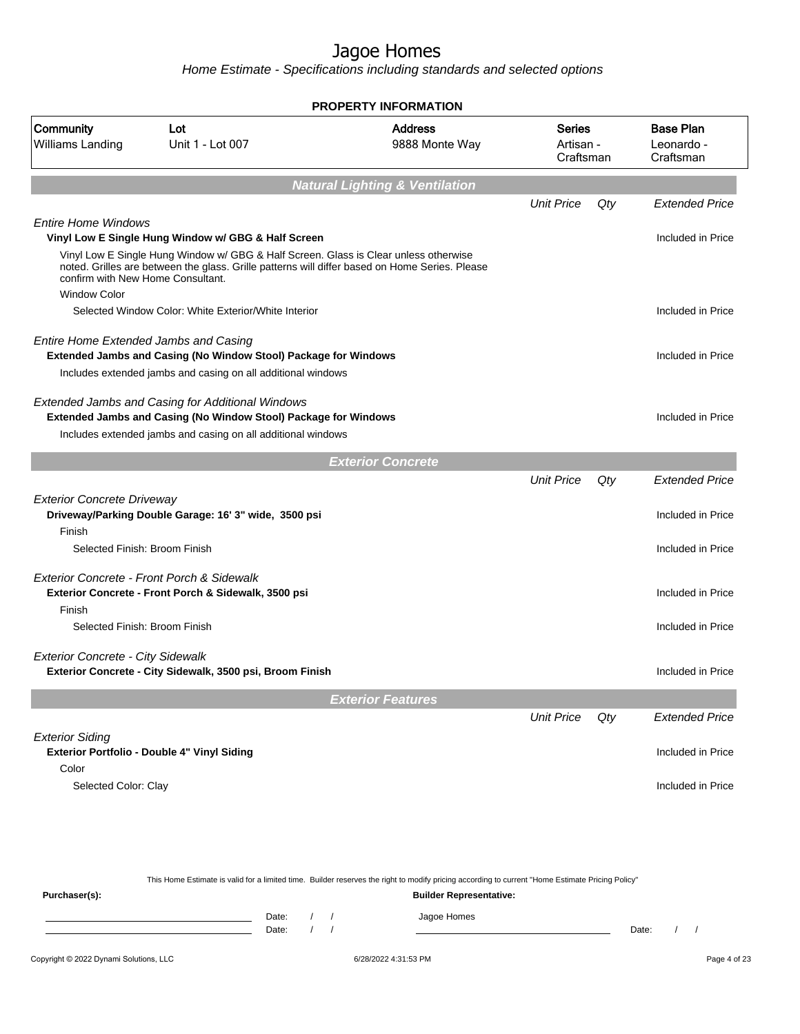Home Estimate - Specifications including standards and selected options

|                                              |                                                                                                                                        | <b>PROPERTY INFORMATION</b>                                                                    |                                         |     |                                             |  |
|----------------------------------------------|----------------------------------------------------------------------------------------------------------------------------------------|------------------------------------------------------------------------------------------------|-----------------------------------------|-----|---------------------------------------------|--|
| Community<br>Williams Landing                | Lot<br>Unit 1 - Lot 007                                                                                                                | <b>Address</b><br>9888 Monte Way                                                               | <b>Series</b><br>Artisan -<br>Craftsman |     | <b>Base Plan</b><br>Leonardo -<br>Craftsman |  |
|                                              |                                                                                                                                        | <b>Natural Lighting &amp; Ventilation</b>                                                      |                                         |     |                                             |  |
|                                              |                                                                                                                                        |                                                                                                | <b>Unit Price</b>                       | Qty | <b>Extended Price</b>                       |  |
| <b>Entire Home Windows</b>                   |                                                                                                                                        |                                                                                                |                                         |     |                                             |  |
|                                              | Vinyl Low E Single Hung Window w/ GBG & Half Screen                                                                                    |                                                                                                |                                         |     | Included in Price                           |  |
| confirm with New Home Consultant.            | Vinyl Low E Single Hung Window w/ GBG & Half Screen. Glass is Clear unless otherwise                                                   | noted. Grilles are between the glass. Grille patterns will differ based on Home Series. Please |                                         |     |                                             |  |
| <b>Window Color</b>                          |                                                                                                                                        |                                                                                                |                                         |     |                                             |  |
|                                              | Selected Window Color: White Exterior/White Interior                                                                                   |                                                                                                |                                         |     | Included in Price                           |  |
| <b>Entire Home Extended Jambs and Casing</b> | Extended Jambs and Casing (No Window Stool) Package for Windows                                                                        |                                                                                                |                                         |     | Included in Price                           |  |
|                                              | Includes extended jambs and casing on all additional windows                                                                           |                                                                                                |                                         |     |                                             |  |
|                                              |                                                                                                                                        |                                                                                                |                                         |     |                                             |  |
|                                              | <b>Extended Jambs and Casing for Additional Windows</b>                                                                                |                                                                                                |                                         |     |                                             |  |
|                                              | <b>Extended Jambs and Casing (No Window Stool) Package for Windows</b><br>Includes extended jambs and casing on all additional windows |                                                                                                |                                         |     | Included in Price                           |  |
|                                              |                                                                                                                                        |                                                                                                |                                         |     |                                             |  |
|                                              |                                                                                                                                        | <b>Exterior Concrete</b>                                                                       |                                         |     |                                             |  |
|                                              |                                                                                                                                        |                                                                                                | <b>Unit Price</b>                       | Qty | <b>Extended Price</b>                       |  |
| <b>Exterior Concrete Driveway</b>            |                                                                                                                                        |                                                                                                |                                         |     |                                             |  |
|                                              | Driveway/Parking Double Garage: 16' 3" wide, 3500 psi                                                                                  |                                                                                                |                                         |     | Included in Price                           |  |
| Finish                                       |                                                                                                                                        |                                                                                                |                                         |     |                                             |  |
| Selected Finish: Broom Finish                |                                                                                                                                        |                                                                                                |                                         |     | Included in Price                           |  |
|                                              | Exterior Concrete - Front Porch & Sidewalk                                                                                             |                                                                                                |                                         |     |                                             |  |
|                                              | Exterior Concrete - Front Porch & Sidewalk, 3500 psi                                                                                   |                                                                                                |                                         |     | Included in Price                           |  |
| Finish                                       |                                                                                                                                        |                                                                                                |                                         |     |                                             |  |
| Selected Finish: Broom Finish                |                                                                                                                                        |                                                                                                |                                         |     | Included in Price                           |  |
|                                              |                                                                                                                                        |                                                                                                |                                         |     |                                             |  |
| <b>Exterior Concrete - City Sidewalk</b>     |                                                                                                                                        |                                                                                                |                                         |     |                                             |  |
|                                              | Exterior Concrete - City Sidewalk, 3500 psi, Broom Finish                                                                              |                                                                                                |                                         |     | Included in Price                           |  |
|                                              |                                                                                                                                        | <b>Exterior Features</b>                                                                       |                                         |     |                                             |  |
|                                              |                                                                                                                                        |                                                                                                | <b>Unit Price</b>                       | Qty | <b>Extended Price</b>                       |  |
| <b>Exterior Siding</b>                       |                                                                                                                                        |                                                                                                |                                         |     |                                             |  |
|                                              | Exterior Portfolio - Double 4" Vinyl Siding                                                                                            |                                                                                                |                                         |     | Included in Price                           |  |
| Color                                        |                                                                                                                                        |                                                                                                |                                         |     |                                             |  |
| Selected Color: Clay                         |                                                                                                                                        |                                                                                                |                                         |     | Included in Price                           |  |
|                                              |                                                                                                                                        |                                                                                                |                                         |     |                                             |  |
|                                              |                                                                                                                                        |                                                                                                |                                         |     |                                             |  |

This Home Estimate is valid for a limited time. Builder reserves the right to modify pricing according to current "Home Estimate Pricing Policy" **Purchaser(s): Builder Representative:** Date: / / Jagoe Homes<br>Date: / / Jagoe Homes Date: / / **Date: / / 2006** Date: / / / Date: / / / Date: / / / 2006 Date: / / / 2006 Date: / / / 2006 Date: / / / 2006 Date: / / / 2007 Date: / / / 2007 Date: / / / 2007 Date: / / / 2007 Date: / / / 2007 Date: / / / 2007 D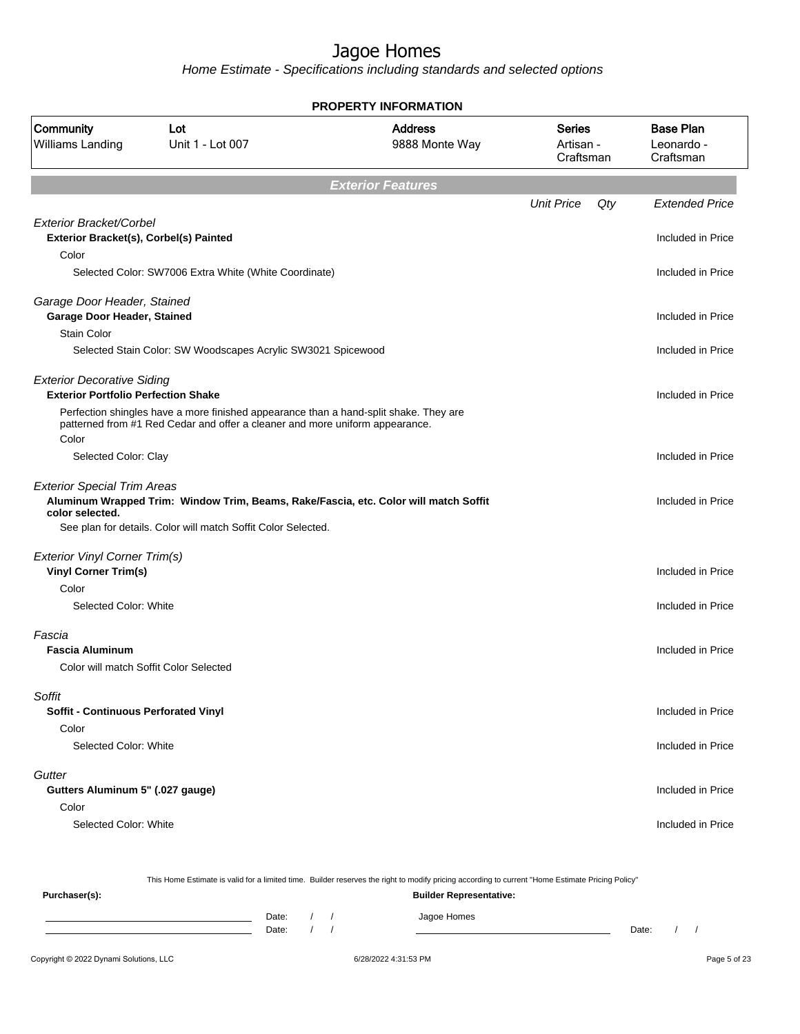Home Estimate - Specifications including standards and selected options

|                                                                                 |                                                                                                                                                                       | <b>PROPERTY INFORMATION</b>      |                                         |     |                                             |
|---------------------------------------------------------------------------------|-----------------------------------------------------------------------------------------------------------------------------------------------------------------------|----------------------------------|-----------------------------------------|-----|---------------------------------------------|
| Community<br>Williams Landing                                                   | Lot<br>Unit 1 - Lot 007                                                                                                                                               | <b>Address</b><br>9888 Monte Way | <b>Series</b><br>Artisan -<br>Craftsman |     | <b>Base Plan</b><br>Leonardo -<br>Craftsman |
|                                                                                 |                                                                                                                                                                       | <b>Exterior Features</b>         |                                         |     |                                             |
|                                                                                 |                                                                                                                                                                       |                                  | <b>Unit Price</b>                       | Qty | <b>Extended Price</b>                       |
| Exterior Bracket/Corbel<br>Exterior Bracket(s), Corbel(s) Painted<br>Color      |                                                                                                                                                                       |                                  |                                         |     | Included in Price                           |
|                                                                                 | Selected Color: SW7006 Extra White (White Coordinate)                                                                                                                 |                                  |                                         |     | Included in Price                           |
| Garage Door Header, Stained<br><b>Garage Door Header, Stained</b>               |                                                                                                                                                                       |                                  |                                         |     | Included in Price                           |
| <b>Stain Color</b>                                                              |                                                                                                                                                                       |                                  |                                         |     |                                             |
|                                                                                 | Selected Stain Color: SW Woodscapes Acrylic SW3021 Spicewood                                                                                                          |                                  |                                         |     | Included in Price                           |
| <b>Exterior Decorative Siding</b><br><b>Exterior Portfolio Perfection Shake</b> |                                                                                                                                                                       |                                  |                                         |     | Included in Price                           |
| Color                                                                           | Perfection shingles have a more finished appearance than a hand-split shake. They are<br>patterned from #1 Red Cedar and offer a cleaner and more uniform appearance. |                                  |                                         |     |                                             |
| Selected Color: Clay                                                            |                                                                                                                                                                       |                                  |                                         |     | Included in Price                           |
| <b>Exterior Special Trim Areas</b><br>color selected.                           | Aluminum Wrapped Trim: Window Trim, Beams, Rake/Fascia, etc. Color will match Soffit<br>See plan for details. Color will match Soffit Color Selected.                 |                                  |                                         |     | Included in Price                           |
| <b>Exterior Vinyl Corner Trim(s)</b>                                            |                                                                                                                                                                       |                                  |                                         |     |                                             |
| <b>Vinyl Corner Trim(s)</b>                                                     |                                                                                                                                                                       |                                  |                                         |     | Included in Price                           |
| Color                                                                           |                                                                                                                                                                       |                                  |                                         |     |                                             |
| Selected Color: White                                                           |                                                                                                                                                                       |                                  |                                         |     | Included in Price                           |
| Fascia<br><b>Fascia Aluminum</b>                                                | Color will match Soffit Color Selected                                                                                                                                |                                  |                                         |     | Included in Price                           |
| Soffit<br><b>Soffit - Continuous Perforated Vinyl</b>                           |                                                                                                                                                                       |                                  |                                         |     | Included in Price                           |
| Color                                                                           |                                                                                                                                                                       |                                  |                                         |     |                                             |
| Selected Color: White                                                           |                                                                                                                                                                       |                                  |                                         |     | Included in Price                           |
| Gutter                                                                          |                                                                                                                                                                       |                                  |                                         |     |                                             |
| Gutters Aluminum 5" (.027 gauge)                                                |                                                                                                                                                                       |                                  |                                         |     | Included in Price                           |
| Color                                                                           |                                                                                                                                                                       |                                  |                                         |     |                                             |
| Selected Color: White                                                           |                                                                                                                                                                       |                                  |                                         |     | Included in Price                           |
|                                                                                 |                                                                                                                                                                       |                                  |                                         |     |                                             |

This Home Estimate is valid for a limited time. Builder reserves the right to modify pricing according to current "Home Estimate Pricing Policy"

**Purchaser(s): Builder Representative:** Date: / / Jagoe Homes<br>Date: / / Jagoe Homes Date: / / **Date: / / 2006** Date: / / / Date: / / / Date: / / / 2006 Date: / / / 2006 Date: / / / 2006 Date: / / / 2006 Date: / / / 2007 Date: / / / 2007 Date: / / / 2007 Date: / / / 2007 Date: / / / 2007 Date: / / / 2007 D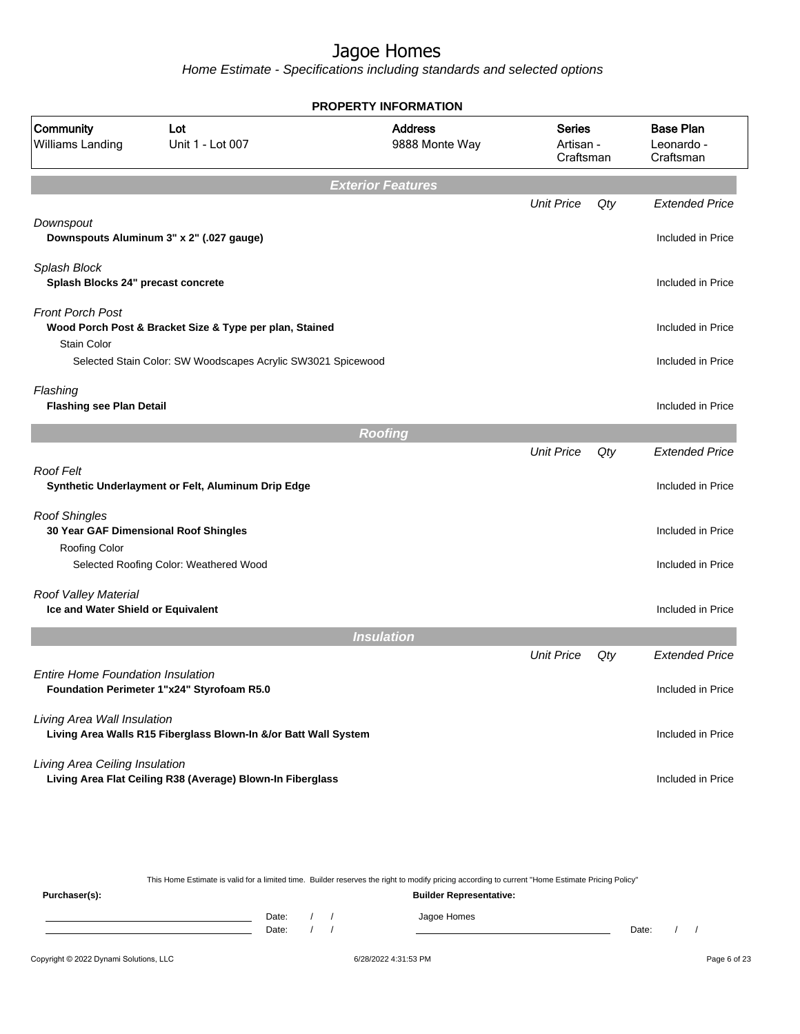Home Estimate - Specifications including standards and selected options

|                                                                                        |                                                                 | <b>PROPERTY INFORMATION</b>      |                                         |     |                                             |
|----------------------------------------------------------------------------------------|-----------------------------------------------------------------|----------------------------------|-----------------------------------------|-----|---------------------------------------------|
| Community<br>Williams Landing                                                          | Lot<br>Unit 1 - Lot 007                                         | <b>Address</b><br>9888 Monte Way | <b>Series</b><br>Artisan -<br>Craftsman |     | <b>Base Plan</b><br>Leonardo -<br>Craftsman |
|                                                                                        |                                                                 | <b>Exterior Features</b>         |                                         |     |                                             |
| Downspout                                                                              |                                                                 |                                  | <b>Unit Price</b>                       | Qty | <b>Extended Price</b>                       |
| Downspouts Aluminum 3" x 2" (.027 gauge)                                               |                                                                 |                                  |                                         |     | Included in Price                           |
| Splash Block<br>Splash Blocks 24" precast concrete                                     |                                                                 |                                  |                                         |     | Included in Price                           |
| <b>Front Porch Post</b>                                                                | Wood Porch Post & Bracket Size & Type per plan, Stained         |                                  |                                         |     | Included in Price                           |
| <b>Stain Color</b>                                                                     | Selected Stain Color: SW Woodscapes Acrylic SW3021 Spicewood    |                                  |                                         |     | Included in Price                           |
| Flashing<br><b>Flashing see Plan Detail</b>                                            |                                                                 |                                  |                                         |     | Included in Price                           |
|                                                                                        |                                                                 | Roofing                          |                                         |     |                                             |
|                                                                                        |                                                                 |                                  | <b>Unit Price</b>                       | Qty | <b>Extended Price</b>                       |
| <b>Roof Felt</b>                                                                       | Synthetic Underlayment or Felt, Aluminum Drip Edge              |                                  |                                         |     | Included in Price                           |
| <b>Roof Shingles</b><br>30 Year GAF Dimensional Roof Shingles                          |                                                                 |                                  |                                         |     | Included in Price                           |
| Roofing Color                                                                          | Selected Roofing Color: Weathered Wood                          |                                  |                                         |     | Included in Price                           |
| Roof Valley Material<br>Ice and Water Shield or Equivalent                             |                                                                 |                                  |                                         |     | Included in Price                           |
|                                                                                        |                                                                 | <b>Insulation</b>                |                                         |     |                                             |
|                                                                                        |                                                                 |                                  | <b>Unit Price</b>                       | Qty | <b>Extended Price</b>                       |
| <b>Entire Home Foundation Insulation</b><br>Foundation Perimeter 1"x24" Styrofoam R5.0 |                                                                 |                                  |                                         |     | Included in Price                           |
| Living Area Wall Insulation                                                            | Living Area Walls R15 Fiberglass Blown-In &/or Batt Wall System |                                  |                                         |     | Included in Price                           |
| Living Area Ceiling Insulation                                                         | Living Area Flat Ceiling R38 (Average) Blown-In Fiberglass      |                                  |                                         |     | Included in Price                           |

This Home Estimate is valid for a limited time. Builder reserves the right to modify pricing according to current "Home Estimate Pricing Policy"

**Purchaser(s): Builder Representative:** Date: / / Jagoe Homes<br>Date: / / Jagoe Homes Date: / / **Date: / / 2006** Date: / / / Date: / / / Date: / / / 2006 Date: / / / 2006 Date: / / / 2006 Date: / / / 2006 Date: / / / 2007 Date: / / / 2007 Date: / / / 2007 Date: / / / 2007 Date: / / / 2007 Date: / / / 2007 D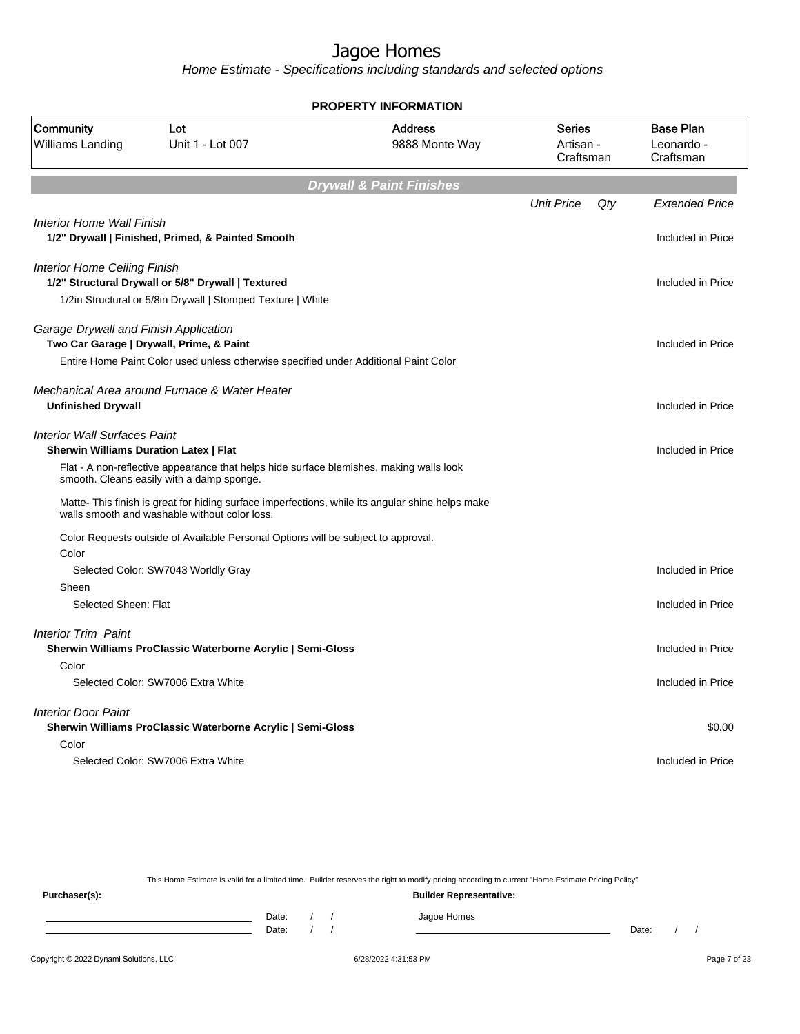| <b>PROPERTY INFORMATION</b>                                                          |                                                                                                                                      |                                                                                                  |                                         |     |                                             |  |
|--------------------------------------------------------------------------------------|--------------------------------------------------------------------------------------------------------------------------------------|--------------------------------------------------------------------------------------------------|-----------------------------------------|-----|---------------------------------------------|--|
| Community<br>Williams Landing                                                        | Lot<br>Unit 1 - Lot 007                                                                                                              | <b>Address</b><br>9888 Monte Way                                                                 | <b>Series</b><br>Artisan -<br>Craftsman |     | <b>Base Plan</b><br>Leonardo -<br>Craftsman |  |
| <b>Drywall &amp; Paint Finishes</b>                                                  |                                                                                                                                      |                                                                                                  |                                         |     |                                             |  |
|                                                                                      |                                                                                                                                      |                                                                                                  | <b>Unit Price</b>                       | Qty | <b>Extended Price</b>                       |  |
| Interior Home Wall Finish                                                            | 1/2" Drywall   Finished, Primed, & Painted Smooth                                                                                    |                                                                                                  |                                         |     | Included in Price                           |  |
| <b>Interior Home Ceiling Finish</b>                                                  | 1/2" Structural Drywall or 5/8" Drywall   Textured                                                                                   |                                                                                                  |                                         |     | Included in Price                           |  |
|                                                                                      | 1/2in Structural or 5/8in Drywall   Stomped Texture   White                                                                          |                                                                                                  |                                         |     |                                             |  |
| Garage Drywall and Finish Application                                                | Two Car Garage   Drywall, Prime, & Paint                                                                                             |                                                                                                  |                                         |     | Included in Price                           |  |
|                                                                                      | Entire Home Paint Color used unless otherwise specified under Additional Paint Color                                                 |                                                                                                  |                                         |     |                                             |  |
| <b>Unfinished Drywall</b>                                                            | Mechanical Area around Furnace & Water Heater                                                                                        |                                                                                                  |                                         |     | Included in Price                           |  |
| <b>Interior Wall Surfaces Paint</b><br><b>Sherwin Williams Duration Latex   Flat</b> |                                                                                                                                      |                                                                                                  |                                         |     | Included in Price                           |  |
|                                                                                      | Flat - A non-reflective appearance that helps hide surface blemishes, making walls look<br>smooth. Cleans easily with a damp sponge. |                                                                                                  |                                         |     |                                             |  |
|                                                                                      | walls smooth and washable without color loss.                                                                                        | Matte- This finish is great for hiding surface imperfections, while its angular shine helps make |                                         |     |                                             |  |
|                                                                                      | Color Requests outside of Available Personal Options will be subject to approval.                                                    |                                                                                                  |                                         |     |                                             |  |
| Color                                                                                | Selected Color: SW7043 Worldly Gray                                                                                                  |                                                                                                  |                                         |     | Included in Price                           |  |
| Sheen<br>Selected Sheen: Flat                                                        |                                                                                                                                      |                                                                                                  |                                         |     | Included in Price                           |  |
| <b>Interior Trim Paint</b>                                                           |                                                                                                                                      |                                                                                                  |                                         |     |                                             |  |
| Color                                                                                | Sherwin Williams ProClassic Waterborne Acrylic   Semi-Gloss                                                                          |                                                                                                  |                                         |     | Included in Price                           |  |
|                                                                                      | Selected Color: SW7006 Extra White                                                                                                   |                                                                                                  |                                         |     | Included in Price                           |  |
| <b>Interior Door Paint</b>                                                           |                                                                                                                                      |                                                                                                  |                                         |     |                                             |  |
| Color                                                                                | Sherwin Williams ProClassic Waterborne Acrylic   Semi-Gloss                                                                          |                                                                                                  |                                         |     | \$0.00                                      |  |
|                                                                                      | Selected Color: SW7006 Extra White                                                                                                   |                                                                                                  |                                         |     | Included in Price                           |  |
|                                                                                      |                                                                                                                                      |                                                                                                  |                                         |     |                                             |  |

|               |       |  | This Home Estimate is valid for a limited time. Builder reserves the right to modify pricing according to current "Home Estimate Pricing Policy" |       |  |
|---------------|-------|--|--------------------------------------------------------------------------------------------------------------------------------------------------|-------|--|
| Purchaser(s): |       |  | <b>Builder Representative:</b>                                                                                                                   |       |  |
|               | Date: |  | Jagoe Homes                                                                                                                                      |       |  |
|               | Date: |  |                                                                                                                                                  | Date: |  |
|               |       |  |                                                                                                                                                  |       |  |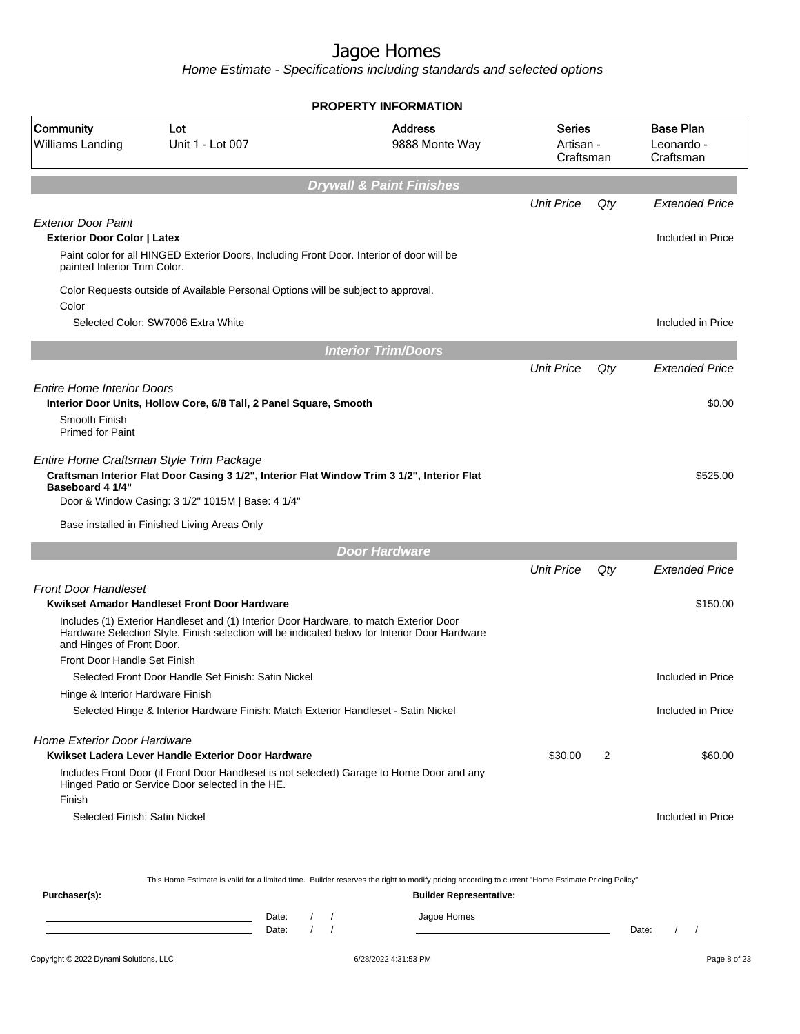Home Estimate - Specifications including standards and selected options

|                                                                                                  |                                                                                                                                                                                                                                              | <b>PROPERTY INFORMATION</b>                                                                                                                      |                                  |     |                                             |
|--------------------------------------------------------------------------------------------------|----------------------------------------------------------------------------------------------------------------------------------------------------------------------------------------------------------------------------------------------|--------------------------------------------------------------------------------------------------------------------------------------------------|----------------------------------|-----|---------------------------------------------|
| Community<br>Williams Landing                                                                    | Lot<br>Unit 1 - Lot 007                                                                                                                                                                                                                      | <b>Address</b><br>9888 Monte Way                                                                                                                 | Series<br>Artisan -<br>Craftsman |     | <b>Base Plan</b><br>Leonardo -<br>Craftsman |
|                                                                                                  |                                                                                                                                                                                                                                              | <b>Drywall &amp; Paint Finishes</b>                                                                                                              |                                  |     |                                             |
|                                                                                                  |                                                                                                                                                                                                                                              |                                                                                                                                                  | <b>Unit Price</b>                | Qty | <b>Extended Price</b>                       |
| <b>Exterior Door Paint</b><br><b>Exterior Door Color   Latex</b><br>painted Interior Trim Color. | Paint color for all HINGED Exterior Doors, Including Front Door. Interior of door will be                                                                                                                                                    |                                                                                                                                                  |                                  |     | Included in Price                           |
| Color                                                                                            | Color Requests outside of Available Personal Options will be subject to approval.                                                                                                                                                            |                                                                                                                                                  |                                  |     |                                             |
|                                                                                                  | Selected Color: SW7006 Extra White                                                                                                                                                                                                           |                                                                                                                                                  |                                  |     | Included in Price                           |
|                                                                                                  |                                                                                                                                                                                                                                              | <b>Interior Trim/Doors</b>                                                                                                                       |                                  |     |                                             |
|                                                                                                  |                                                                                                                                                                                                                                              |                                                                                                                                                  | <b>Unit Price</b>                | Qty | <b>Extended Price</b>                       |
| <b>Entire Home Interior Doors</b><br>Smooth Finish<br><b>Primed for Paint</b>                    | Interior Door Units, Hollow Core, 6/8 Tall, 2 Panel Square, Smooth                                                                                                                                                                           |                                                                                                                                                  |                                  |     | \$0.00                                      |
| Baseboard 4 1/4"                                                                                 | Entire Home Craftsman Style Trim Package<br>Craftsman Interior Flat Door Casing 3 1/2", Interior Flat Window Trim 3 1/2", Interior Flat<br>Door & Window Casing: 3 1/2" 1015M   Base: 4 1/4"<br>Base installed in Finished Living Areas Only |                                                                                                                                                  |                                  |     | \$525.00                                    |
|                                                                                                  |                                                                                                                                                                                                                                              | <b>Door Hardware</b>                                                                                                                             |                                  |     |                                             |
|                                                                                                  |                                                                                                                                                                                                                                              |                                                                                                                                                  | <b>Unit Price</b>                | Qty | <b>Extended Price</b>                       |
| <b>Front Door Handleset</b>                                                                      | Kwikset Amador Handleset Front Door Hardware                                                                                                                                                                                                 |                                                                                                                                                  |                                  |     | \$150.00                                    |
| and Hinges of Front Door.                                                                        | Includes (1) Exterior Handleset and (1) Interior Door Hardware, to match Exterior Door<br>Hardware Selection Style. Finish selection will be indicated below for Interior Door Hardware                                                      |                                                                                                                                                  |                                  |     |                                             |
| Front Door Handle Set Finish                                                                     |                                                                                                                                                                                                                                              |                                                                                                                                                  |                                  |     |                                             |
|                                                                                                  | Selected Front Door Handle Set Finish: Satin Nickel                                                                                                                                                                                          |                                                                                                                                                  |                                  |     | Included in Price                           |
| Hinge & Interior Hardware Finish                                                                 | Selected Hinge & Interior Hardware Finish: Match Exterior Handleset - Satin Nickel                                                                                                                                                           |                                                                                                                                                  |                                  |     | Included in Price                           |
| <b>Home Exterior Door Hardware</b>                                                               | Kwikset Ladera Lever Handle Exterior Door Hardware                                                                                                                                                                                           |                                                                                                                                                  | \$30.00                          | 2   | \$60.00                                     |
| Finish                                                                                           | Includes Front Door (if Front Door Handleset is not selected) Garage to Home Door and any<br>Hinged Patio or Service Door selected in the HE.                                                                                                |                                                                                                                                                  |                                  |     |                                             |
| Selected Finish: Satin Nickel                                                                    |                                                                                                                                                                                                                                              |                                                                                                                                                  |                                  |     | Included in Price                           |
|                                                                                                  |                                                                                                                                                                                                                                              | This Home Estimate is valid for a limited time. Builder reserves the right to modify pricing according to current "Home Estimate Pricing Policy" |                                  |     |                                             |
| Purchaser(s):                                                                                    |                                                                                                                                                                                                                                              | <b>Builder Representative:</b>                                                                                                                   |                                  |     |                                             |

Date: / / Jagoe Homes<br>Date: / / Jagoe Homes Date: / / Date: / /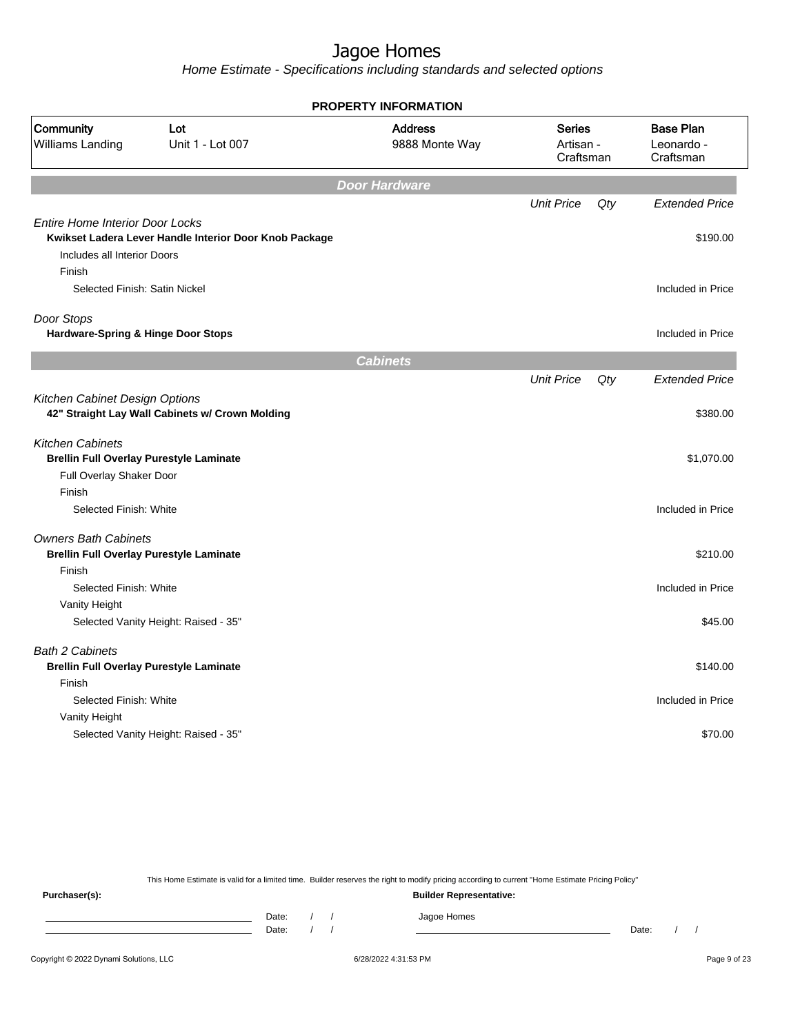Home Estimate - Specifications including standards and selected options

|                                                                                 |                                                        | <b>PROPERTY INFORMATION</b>      |                                         |        |                                             |
|---------------------------------------------------------------------------------|--------------------------------------------------------|----------------------------------|-----------------------------------------|--------|---------------------------------------------|
| Community<br>Williams Landing                                                   | Lot<br>Unit 1 - Lot 007                                | <b>Address</b><br>9888 Monte Way | <b>Series</b><br>Artisan -<br>Craftsman |        | <b>Base Plan</b><br>Leonardo -<br>Craftsman |
|                                                                                 |                                                        | <b>Door Hardware</b>             |                                         |        |                                             |
|                                                                                 |                                                        |                                  | <b>Unit Price</b>                       | Qty    | <b>Extended Price</b>                       |
| <b>Entire Home Interior Door Locks</b><br>Includes all Interior Doors<br>Finish | Kwikset Ladera Lever Handle Interior Door Knob Package |                                  |                                         |        | \$190.00                                    |
| Selected Finish: Satin Nickel                                                   |                                                        |                                  |                                         |        | Included in Price                           |
| Door Stops                                                                      |                                                        |                                  |                                         |        |                                             |
| Hardware-Spring & Hinge Door Stops                                              |                                                        |                                  |                                         |        | Included in Price                           |
|                                                                                 |                                                        | <b>Cabinets</b>                  |                                         |        |                                             |
|                                                                                 |                                                        |                                  | <b>Unit Price</b>                       | $Q$ ty | <b>Extended Price</b>                       |
| Kitchen Cabinet Design Options                                                  | 42" Straight Lay Wall Cabinets w/ Crown Molding        |                                  |                                         |        | \$380.00                                    |
| <b>Kitchen Cabinets</b>                                                         |                                                        |                                  |                                         |        |                                             |
| <b>Brellin Full Overlay Purestyle Laminate</b><br>Full Overlay Shaker Door      |                                                        |                                  |                                         |        | \$1,070.00                                  |
| Finish                                                                          |                                                        |                                  |                                         |        |                                             |
| Selected Finish: White                                                          |                                                        |                                  |                                         |        | Included in Price                           |
| <b>Owners Bath Cabinets</b>                                                     |                                                        |                                  |                                         |        |                                             |
| <b>Brellin Full Overlay Purestyle Laminate</b>                                  |                                                        |                                  |                                         |        | \$210.00                                    |
| Finish<br>Selected Finish: White                                                |                                                        |                                  |                                         |        | Included in Price                           |
| Vanity Height                                                                   |                                                        |                                  |                                         |        |                                             |
|                                                                                 | Selected Vanity Height: Raised - 35"                   |                                  |                                         |        | \$45.00                                     |
| <b>Bath 2 Cabinets</b>                                                          |                                                        |                                  |                                         |        |                                             |
| <b>Brellin Full Overlay Purestyle Laminate</b>                                  |                                                        |                                  |                                         |        | \$140.00                                    |
| Finish                                                                          |                                                        |                                  |                                         |        |                                             |
| Selected Finish: White                                                          |                                                        |                                  |                                         |        | Included in Price                           |
| Vanity Height                                                                   |                                                        |                                  |                                         |        |                                             |
|                                                                                 | Selected Vanity Height: Raised - 35"                   |                                  |                                         |        | \$70.00                                     |
|                                                                                 |                                                        |                                  |                                         |        |                                             |

This Home Estimate is valid for a limited time. Builder reserves the right to modify pricing according to current "Home Estimate Pricing Policy"

**Purchaser(s): Builder Representative:** Date: / / Jagoe Homes<br>Date: / / Jagoe Homes Date: / / Date: / /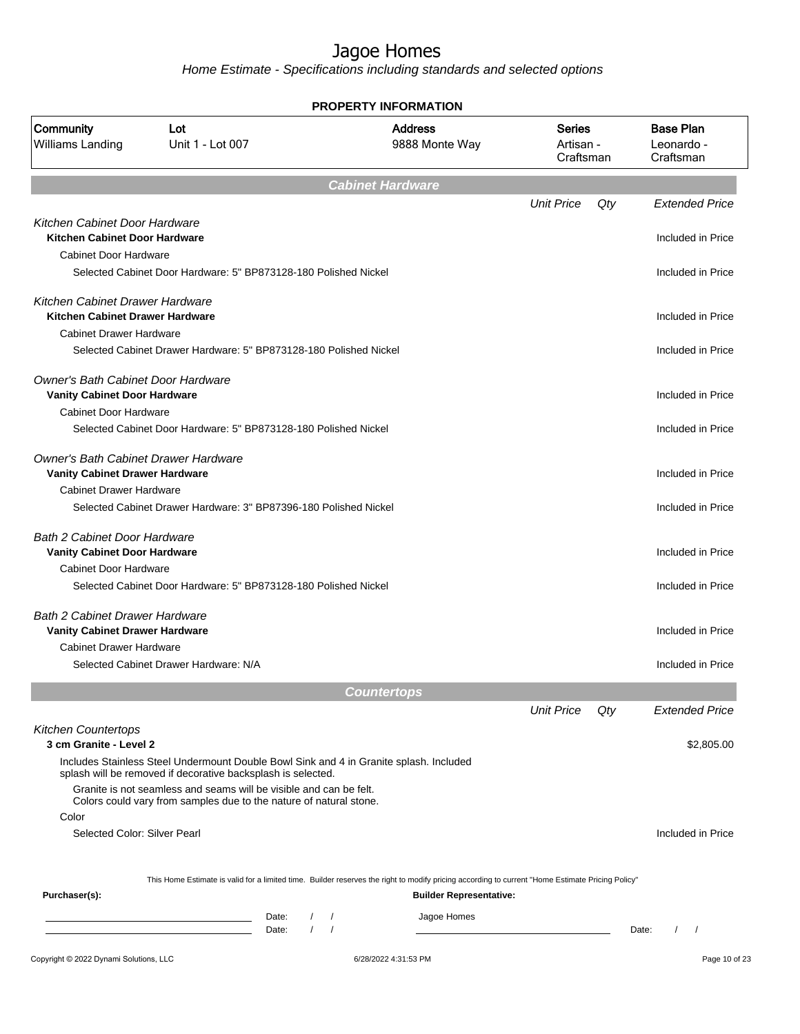|                                                                     |                                                                                                                                                  | <b>PROPERTY INFORMATION</b>      |                                         |     |                                             |
|---------------------------------------------------------------------|--------------------------------------------------------------------------------------------------------------------------------------------------|----------------------------------|-----------------------------------------|-----|---------------------------------------------|
| Community<br>Williams Landing                                       | Lot<br>Unit 1 - Lot 007                                                                                                                          | <b>Address</b><br>9888 Monte Way | <b>Series</b><br>Artisan -<br>Craftsman |     | <b>Base Plan</b><br>Leonardo -<br>Craftsman |
|                                                                     |                                                                                                                                                  | <b>Cabinet Hardware</b>          |                                         |     |                                             |
|                                                                     |                                                                                                                                                  |                                  | <b>Unit Price</b>                       | Qty | <b>Extended Price</b>                       |
| Kitchen Cabinet Door Hardware                                       |                                                                                                                                                  |                                  |                                         |     |                                             |
| Kitchen Cabinet Door Hardware                                       |                                                                                                                                                  |                                  |                                         |     | Included in Price                           |
| <b>Cabinet Door Hardware</b>                                        |                                                                                                                                                  |                                  |                                         |     |                                             |
|                                                                     | Selected Cabinet Door Hardware: 5" BP873128-180 Polished Nickel                                                                                  |                                  |                                         |     | Included in Price                           |
| Kitchen Cabinet Drawer Hardware                                     |                                                                                                                                                  |                                  |                                         |     |                                             |
| <b>Kitchen Cabinet Drawer Hardware</b>                              |                                                                                                                                                  |                                  |                                         |     | Included in Price                           |
| <b>Cabinet Drawer Hardware</b>                                      |                                                                                                                                                  |                                  |                                         |     |                                             |
|                                                                     | Selected Cabinet Drawer Hardware: 5" BP873128-180 Polished Nickel                                                                                |                                  |                                         |     | Included in Price                           |
| <b>Owner's Bath Cabinet Door Hardware</b>                           |                                                                                                                                                  |                                  |                                         |     |                                             |
| <b>Vanity Cabinet Door Hardware</b>                                 |                                                                                                                                                  |                                  |                                         |     | Included in Price                           |
| <b>Cabinet Door Hardware</b>                                        |                                                                                                                                                  |                                  |                                         |     |                                             |
|                                                                     | Selected Cabinet Door Hardware: 5" BP873128-180 Polished Nickel                                                                                  |                                  |                                         |     | Included in Price                           |
| <b>Owner's Bath Cabinet Drawer Hardware</b>                         |                                                                                                                                                  |                                  |                                         |     |                                             |
| <b>Vanity Cabinet Drawer Hardware</b>                               |                                                                                                                                                  |                                  |                                         |     | Included in Price                           |
| <b>Cabinet Drawer Hardware</b>                                      |                                                                                                                                                  |                                  |                                         |     |                                             |
|                                                                     | Selected Cabinet Drawer Hardware: 3" BP87396-180 Polished Nickel                                                                                 |                                  |                                         |     | Included in Price                           |
|                                                                     |                                                                                                                                                  |                                  |                                         |     |                                             |
| <b>Bath 2 Cabinet Door Hardware</b>                                 |                                                                                                                                                  |                                  |                                         |     |                                             |
| <b>Vanity Cabinet Door Hardware</b><br><b>Cabinet Door Hardware</b> |                                                                                                                                                  |                                  |                                         |     | Included in Price                           |
|                                                                     | Selected Cabinet Door Hardware: 5" BP873128-180 Polished Nickel                                                                                  |                                  |                                         |     | Included in Price                           |
|                                                                     |                                                                                                                                                  |                                  |                                         |     |                                             |
| <b>Bath 2 Cabinet Drawer Hardware</b>                               |                                                                                                                                                  |                                  |                                         |     |                                             |
| <b>Vanity Cabinet Drawer Hardware</b>                               |                                                                                                                                                  |                                  |                                         |     | Included in Price                           |
| <b>Cabinet Drawer Hardware</b>                                      |                                                                                                                                                  |                                  |                                         |     |                                             |
|                                                                     | Selected Cabinet Drawer Hardware: N/A                                                                                                            |                                  |                                         |     | Included in Price                           |
|                                                                     |                                                                                                                                                  | <b>Countertops</b>               |                                         |     |                                             |
|                                                                     |                                                                                                                                                  |                                  | <b>Unit Price</b>                       | Qty | <b>Extended Price</b>                       |
| <b>Kitchen Countertops</b>                                          |                                                                                                                                                  |                                  |                                         |     |                                             |
| 3 cm Granite - Level 2                                              |                                                                                                                                                  |                                  |                                         |     | \$2,805.00                                  |
|                                                                     | Includes Stainless Steel Undermount Double Bowl Sink and 4 in Granite splash. Included                                                           |                                  |                                         |     |                                             |
|                                                                     | splash will be removed if decorative backsplash is selected.<br>Granite is not seamless and seams will be visible and can be felt.               |                                  |                                         |     |                                             |
|                                                                     | Colors could vary from samples due to the nature of natural stone.                                                                               |                                  |                                         |     |                                             |
| Color                                                               |                                                                                                                                                  |                                  |                                         |     |                                             |
| Selected Color: Silver Pearl                                        |                                                                                                                                                  |                                  |                                         |     | Included in Price                           |
|                                                                     |                                                                                                                                                  |                                  |                                         |     |                                             |
|                                                                     | This Home Estimate is valid for a limited time. Builder reserves the right to modify pricing according to current "Home Estimate Pricing Policy" |                                  |                                         |     |                                             |
| Purchaser(s):                                                       |                                                                                                                                                  | <b>Builder Representative:</b>   |                                         |     |                                             |
|                                                                     |                                                                                                                                                  |                                  |                                         |     |                                             |
|                                                                     | Date:                                                                                                                                            | Jagoe Homes                      |                                         |     |                                             |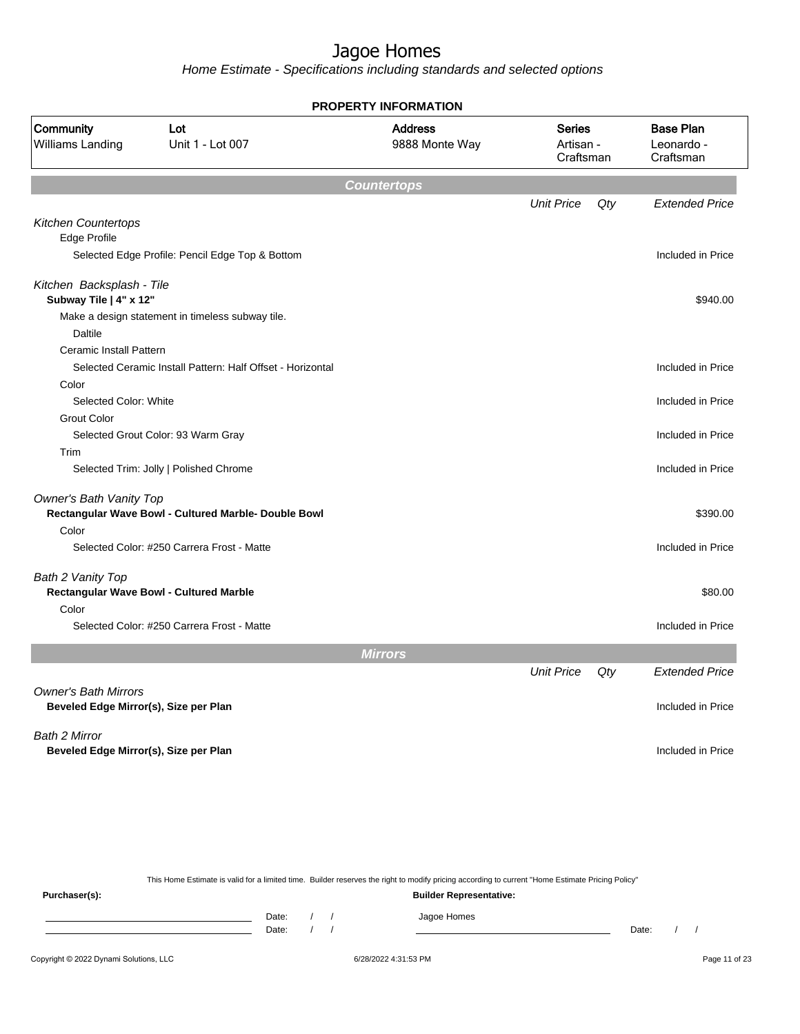Home Estimate - Specifications including standards and selected options

|                                                        |                                                            | <b>PROPERTY INFORMATION</b>      |                                         |                                             |
|--------------------------------------------------------|------------------------------------------------------------|----------------------------------|-----------------------------------------|---------------------------------------------|
| Community<br>Williams Landing                          | Lot<br>Unit 1 - Lot 007                                    | <b>Address</b><br>9888 Monte Way | <b>Series</b><br>Artisan -<br>Craftsman | <b>Base Plan</b><br>Leonardo -<br>Craftsman |
|                                                        |                                                            | <b>Countertops</b>               |                                         |                                             |
|                                                        |                                                            |                                  | <b>Unit Price</b>                       | Qty<br><b>Extended Price</b>                |
| <b>Kitchen Countertops</b><br>Edge Profile             |                                                            |                                  |                                         |                                             |
|                                                        | Selected Edge Profile: Pencil Edge Top & Bottom            |                                  |                                         | Included in Price                           |
| Kitchen Backsplash - Tile                              |                                                            |                                  |                                         |                                             |
| Subway Tile   4" x 12"                                 |                                                            |                                  |                                         | \$940.00                                    |
|                                                        | Make a design statement in timeless subway tile.           |                                  |                                         |                                             |
| <b>Daltile</b>                                         |                                                            |                                  |                                         |                                             |
| <b>Ceramic Install Pattern</b>                         |                                                            |                                  |                                         |                                             |
|                                                        | Selected Ceramic Install Pattern: Half Offset - Horizontal |                                  |                                         | Included in Price                           |
| Color                                                  |                                                            |                                  |                                         |                                             |
| Selected Color: White                                  |                                                            |                                  |                                         | Included in Price                           |
| <b>Grout Color</b>                                     |                                                            |                                  |                                         |                                             |
| Trim                                                   | Selected Grout Color: 93 Warm Gray                         |                                  |                                         | Included in Price                           |
|                                                        | Selected Trim: Jolly   Polished Chrome                     |                                  |                                         | Included in Price                           |
| Owner's Bath Vanity Top<br>Color                       | Rectangular Wave Bowl - Cultured Marble- Double Bowl       |                                  |                                         | \$390.00                                    |
|                                                        | Selected Color: #250 Carrera Frost - Matte                 |                                  |                                         | Included in Price                           |
| Bath 2 Vanity Top                                      | Rectangular Wave Bowl - Cultured Marble                    |                                  |                                         | \$80.00                                     |
| Color                                                  | Selected Color: #250 Carrera Frost - Matte                 |                                  |                                         | Included in Price                           |
|                                                        |                                                            | <b>Mirrors</b>                   |                                         |                                             |
|                                                        |                                                            |                                  | <b>Unit Price</b>                       | Qty<br><b>Extended Price</b>                |
| <b>Owner's Bath Mirrors</b>                            |                                                            |                                  |                                         |                                             |
| Beveled Edge Mirror(s), Size per Plan                  |                                                            |                                  |                                         | Included in Price                           |
|                                                        |                                                            |                                  |                                         |                                             |
| Bath 2 Mirror<br>Beveled Edge Mirror(s), Size per Plan |                                                            |                                  |                                         | Included in Price                           |
|                                                        |                                                            |                                  |                                         |                                             |

This Home Estimate is valid for a limited time. Builder reserves the right to modify pricing according to current "Home Estimate Pricing Policy" **Purchaser(s): Builder Representative:** Date: / / Jagoe Homes<br>Date: / / Jagoe Homes Date: / / **Date: / / 2006** Date: / / / Date: / / / Date: / / / 2006 Date: / / / 2006 Date: / / / 2006 Date: / / / 2006 Date: / / / 2007 Date: / / / 2007 Date: / / / 2007 Date: / / / 2007 Date: / / / 2007 Date: / / / 2007 D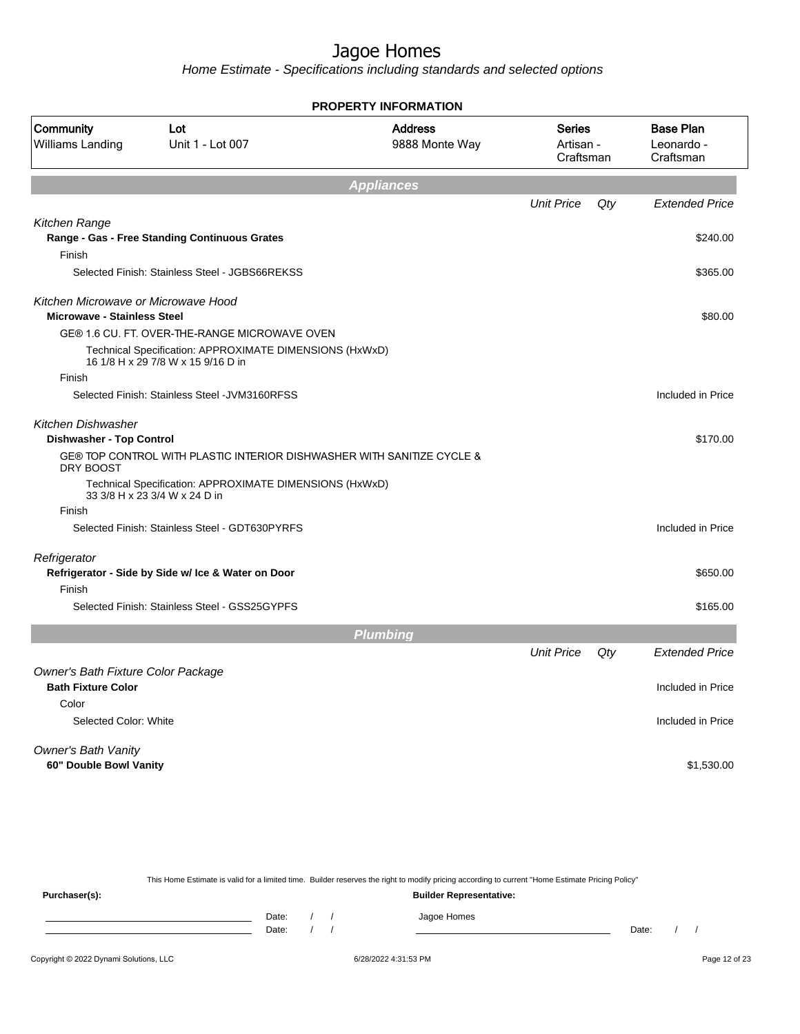Home Estimate - Specifications including standards and selected options

|                                                                           |                                                                                               | UFENTI INFUNIMATIUN              |                                         |     |                                             |
|---------------------------------------------------------------------------|-----------------------------------------------------------------------------------------------|----------------------------------|-----------------------------------------|-----|---------------------------------------------|
| Community<br>Williams Landing                                             | Lot<br>Unit 1 - Lot 007                                                                       | <b>Address</b><br>9888 Monte Way | <b>Series</b><br>Artisan -<br>Craftsman |     | <b>Base Plan</b><br>Leonardo -<br>Craftsman |
|                                                                           |                                                                                               | <b>Appliances</b>                |                                         |     |                                             |
|                                                                           |                                                                                               |                                  | <b>Unit Price</b>                       | Qty | <b>Extended Price</b>                       |
| Kitchen Range                                                             |                                                                                               |                                  |                                         |     |                                             |
|                                                                           | Range - Gas - Free Standing Continuous Grates                                                 |                                  |                                         |     | \$240.00                                    |
| Finish                                                                    |                                                                                               |                                  |                                         |     |                                             |
|                                                                           | Selected Finish: Stainless Steel - JGBS66REKSS                                                |                                  |                                         |     | \$365.00                                    |
| Kitchen Microwave or Microwave Hood<br><b>Microwave - Stainless Steel</b> |                                                                                               |                                  |                                         |     | \$80.00                                     |
|                                                                           | GE® 1.6 CU. FT. OVER-THE-RANGE MICROWAVE OVEN                                                 |                                  |                                         |     |                                             |
|                                                                           | Technical Specification: APPROXIMATE DIMENSIONS (HxWxD)<br>16 1/8 H x 29 7/8 W x 15 9/16 D in |                                  |                                         |     |                                             |
| Finish                                                                    |                                                                                               |                                  |                                         |     |                                             |
|                                                                           | Selected Finish: Stainless Steel - JVM3160RFSS                                                |                                  |                                         |     | Included in Price                           |
| Kitchen Dishwasher                                                        |                                                                                               |                                  |                                         |     |                                             |
| <b>Dishwasher - Top Control</b>                                           |                                                                                               |                                  |                                         |     | \$170.00                                    |
| DRY BOOST                                                                 | GE® TOP CONTROL WITH PLASTIC INTERIOR DISHWASHER WITH SANITIZE CYCLE &                        |                                  |                                         |     |                                             |
|                                                                           | Technical Specification: APPROXIMATE DIMENSIONS (HxWxD)<br>33 3/8 H x 23 3/4 W x 24 D in      |                                  |                                         |     |                                             |
| Finish                                                                    |                                                                                               |                                  |                                         |     |                                             |
|                                                                           | Selected Finish: Stainless Steel - GDT630PYRFS                                                |                                  |                                         |     | Included in Price                           |
| Refrigerator                                                              |                                                                                               |                                  |                                         |     |                                             |
| Finish                                                                    | Refrigerator - Side by Side w/ Ice & Water on Door                                            |                                  |                                         |     | \$650.00                                    |
|                                                                           | Selected Finish: Stainless Steel - GSS25GYPFS                                                 |                                  |                                         |     | \$165.00                                    |
|                                                                           |                                                                                               | <b>Plumbing</b>                  |                                         |     |                                             |
|                                                                           |                                                                                               |                                  | <b>Unit Price</b>                       | Qty | <b>Extended Price</b>                       |
| Owner's Bath Fixture Color Package                                        |                                                                                               |                                  |                                         |     |                                             |
| <b>Bath Fixture Color</b>                                                 |                                                                                               |                                  |                                         |     | Included in Price                           |
| Color                                                                     |                                                                                               |                                  |                                         |     |                                             |
| Selected Color: White                                                     |                                                                                               |                                  |                                         |     | Included in Price                           |
| <b>Owner's Bath Vanity</b>                                                |                                                                                               |                                  |                                         |     |                                             |
| 60" Double Bowl Vanity                                                    |                                                                                               |                                  |                                         |     | \$1,530.00                                  |
|                                                                           |                                                                                               |                                  |                                         |     |                                             |

**PROPERTY INFORMATION**

This Home Estimate is valid for a limited time. Builder reserves the right to modify pricing according to current "Home Estimate Pricing Policy" **Purchaser(s): Builder Representative:** Date: / / Jagoe Homes<br>Date: / / Jagoe Homes Date: / / **Date: / / 2006** Date: / / **Date: / / / 2006** Date: / / / 2006 Date: / / / 2006 Date: / / / 2006 Date: / / / 2007 Date: / / / 2007 Date: / / / 2008 Date: / / / 2008 Date: / / / 2008 Date: / / / 2008 Date: / / / 2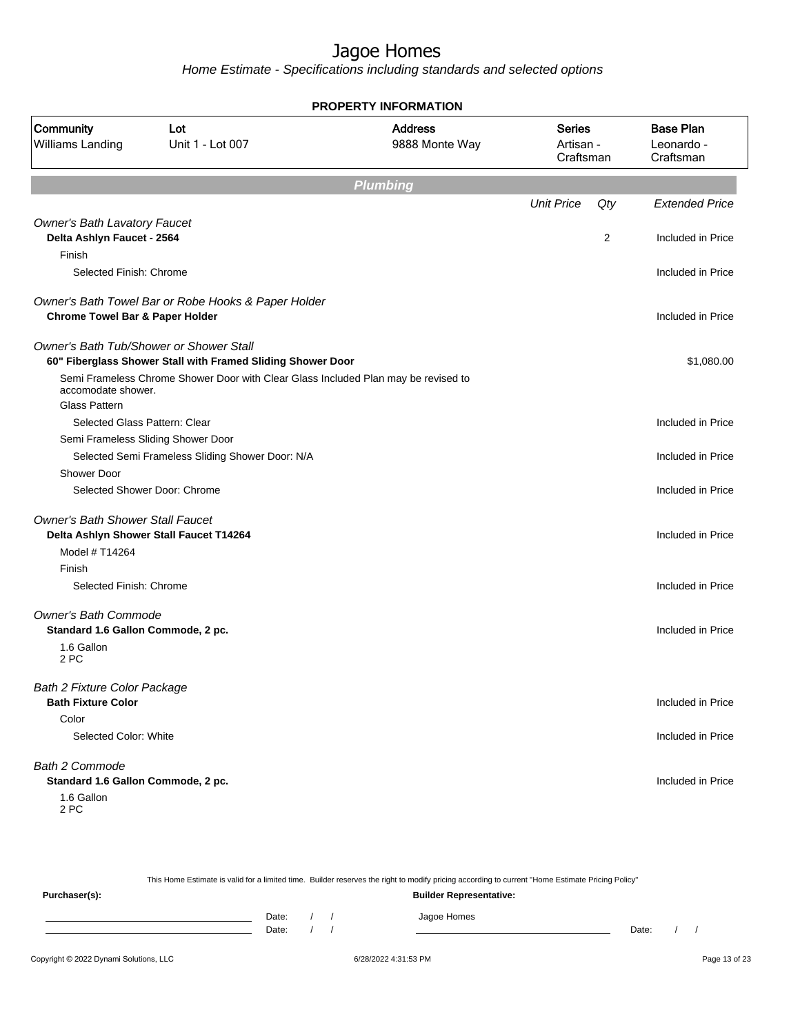Home Estimate - Specifications including standards and selected options

|                                                                                    |                                                             | <b>PROPERTY INFORMATION</b>                                                        |                                         |     |                                             |
|------------------------------------------------------------------------------------|-------------------------------------------------------------|------------------------------------------------------------------------------------|-----------------------------------------|-----|---------------------------------------------|
| Community<br>Williams Landing                                                      | Lot<br>Unit 1 - Lot 007                                     | <b>Address</b><br>9888 Monte Way                                                   | <b>Series</b><br>Artisan -<br>Craftsman |     | <b>Base Plan</b><br>Leonardo -<br>Craftsman |
|                                                                                    |                                                             | <b>Plumbing</b>                                                                    |                                         |     |                                             |
|                                                                                    |                                                             |                                                                                    | <b>Unit Price</b>                       | Qty | <b>Extended Price</b>                       |
| <b>Owner's Bath Lavatory Faucet</b>                                                |                                                             |                                                                                    |                                         |     |                                             |
| Delta Ashlyn Faucet - 2564                                                         |                                                             |                                                                                    |                                         | 2   | Included in Price                           |
| Finish                                                                             |                                                             |                                                                                    |                                         |     |                                             |
| Selected Finish: Chrome                                                            |                                                             |                                                                                    |                                         |     | Included in Price                           |
| <b>Chrome Towel Bar &amp; Paper Holder</b>                                         | Owner's Bath Towel Bar or Robe Hooks & Paper Holder         |                                                                                    |                                         |     | Included in Price                           |
| <b>Owner's Bath Tub/Shower or Shower Stall</b>                                     | 60" Fiberglass Shower Stall with Framed Sliding Shower Door |                                                                                    |                                         |     | \$1,080.00                                  |
| accomodate shower.                                                                 |                                                             | Semi Frameless Chrome Shower Door with Clear Glass Included Plan may be revised to |                                         |     |                                             |
| Glass Pattern                                                                      |                                                             |                                                                                    |                                         |     |                                             |
| Selected Glass Pattern: Clear                                                      |                                                             |                                                                                    |                                         |     | Included in Price                           |
| Semi Frameless Sliding Shower Door                                                 |                                                             |                                                                                    |                                         |     |                                             |
|                                                                                    | Selected Semi Frameless Sliding Shower Door: N/A            |                                                                                    |                                         |     | Included in Price                           |
| <b>Shower Door</b>                                                                 |                                                             |                                                                                    |                                         |     |                                             |
| Selected Shower Door: Chrome                                                       |                                                             |                                                                                    |                                         |     | Included in Price                           |
| <b>Owner's Bath Shower Stall Faucet</b><br>Delta Ashlyn Shower Stall Faucet T14264 |                                                             |                                                                                    |                                         |     | Included in Price                           |
| Model # T14264                                                                     |                                                             |                                                                                    |                                         |     |                                             |
| Finish                                                                             |                                                             |                                                                                    |                                         |     |                                             |
| Selected Finish: Chrome                                                            |                                                             |                                                                                    |                                         |     | Included in Price                           |
| <b>Owner's Bath Commode</b><br>Standard 1.6 Gallon Commode, 2 pc.                  |                                                             |                                                                                    |                                         |     | Included in Price                           |
| 1.6 Gallon<br>2 PC                                                                 |                                                             |                                                                                    |                                         |     |                                             |
| <b>Bath 2 Fixture Color Package</b>                                                |                                                             |                                                                                    |                                         |     |                                             |
| <b>Bath Fixture Color</b>                                                          |                                                             |                                                                                    |                                         |     | Included in Price                           |
| Color                                                                              |                                                             |                                                                                    |                                         |     |                                             |
| Selected Color: White                                                              |                                                             |                                                                                    |                                         |     | Included in Price                           |
| <b>Bath 2 Commode</b>                                                              |                                                             |                                                                                    |                                         |     |                                             |
| Standard 1.6 Gallon Commode, 2 pc.                                                 |                                                             |                                                                                    |                                         |     | Included in Price                           |
| 1.6 Gallon<br>2 PC                                                                 |                                                             |                                                                                    |                                         |     |                                             |

This Home Estimate is valid for a limited time. Builder reserves the right to modify pricing according to current "Home Estimate Pricing Policy" **Purchaser(s): Builder Representative:** Date: / / Jagoe Homes<br>Date: / / Jagoe Homes Date: / / **Date: / / 2006** Date: / / / Date: / / / Date: / / / 2006 Date: / / / 2006 Date: / / / 2006 Date: / / / 2006 Date: / / / 2007 Date: / / / 2007 Date: / / / 2007 Date: / / / 2007 Date: / / / 2007 Date: / / / 2007 D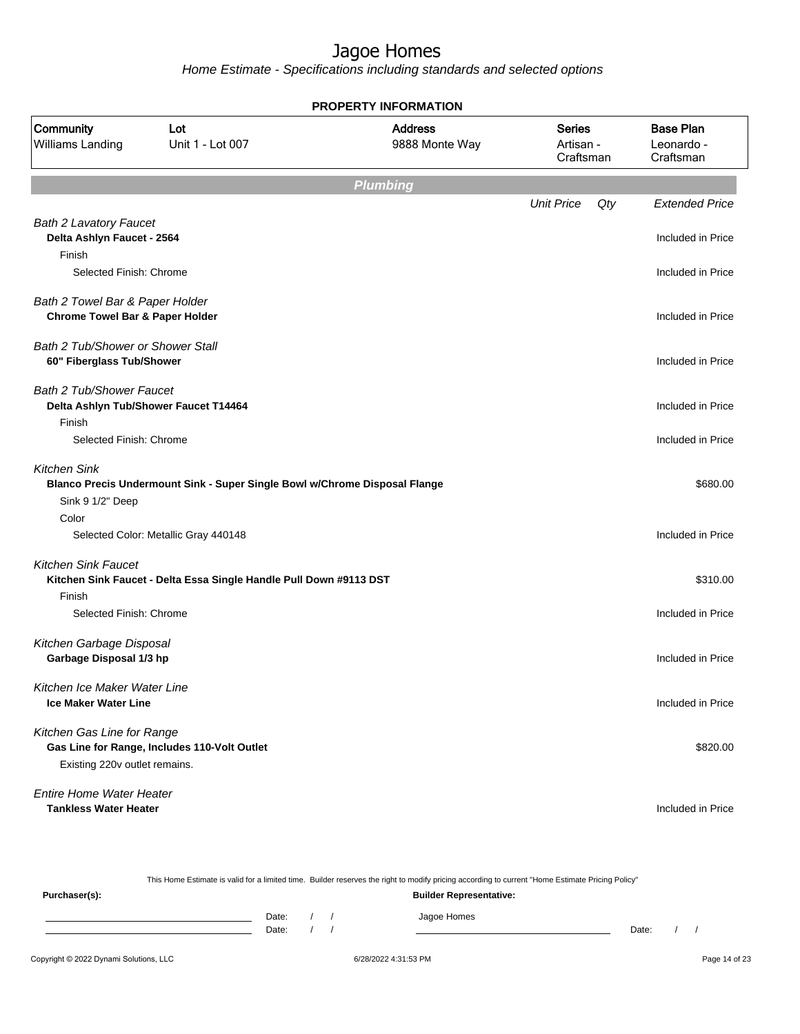|                                                                               |                                                                            | <b>PROPERTY INFORMATION</b>      |                                         |                                             |
|-------------------------------------------------------------------------------|----------------------------------------------------------------------------|----------------------------------|-----------------------------------------|---------------------------------------------|
| Community<br>Williams Landing                                                 | Lot<br>Unit 1 - Lot 007                                                    | <b>Address</b><br>9888 Monte Way | <b>Series</b><br>Artisan -<br>Craftsman | <b>Base Plan</b><br>Leonardo -<br>Craftsman |
|                                                                               |                                                                            | <b>Plumbing</b>                  |                                         |                                             |
|                                                                               |                                                                            |                                  | <b>Unit Price</b><br>Qty                | <b>Extended Price</b>                       |
| <b>Bath 2 Lavatory Faucet</b><br>Delta Ashlyn Faucet - 2564<br>Finish         |                                                                            |                                  |                                         | Included in Price                           |
| Selected Finish: Chrome                                                       |                                                                            |                                  |                                         | Included in Price                           |
| Bath 2 Towel Bar & Paper Holder<br><b>Chrome Towel Bar &amp; Paper Holder</b> |                                                                            |                                  |                                         | Included in Price                           |
| <b>Bath 2 Tub/Shower or Shower Stall</b><br>60" Fiberglass Tub/Shower         |                                                                            |                                  |                                         | Included in Price                           |
| <b>Bath 2 Tub/Shower Faucet</b><br>Finish                                     | Delta Ashlyn Tub/Shower Faucet T14464                                      |                                  |                                         | Included in Price                           |
| Selected Finish: Chrome                                                       |                                                                            |                                  |                                         | Included in Price                           |
| <b>Kitchen Sink</b><br>Sink 9 1/2" Deep<br>Color                              | Blanco Precis Undermount Sink - Super Single Bowl w/Chrome Disposal Flange |                                  |                                         | \$680.00                                    |
|                                                                               | Selected Color: Metallic Gray 440148                                       |                                  |                                         | Included in Price                           |
| <b>Kitchen Sink Faucet</b><br>Finish                                          | Kitchen Sink Faucet - Delta Essa Single Handle Pull Down #9113 DST         |                                  |                                         | \$310.00                                    |
| Selected Finish: Chrome                                                       |                                                                            |                                  |                                         | Included in Price                           |
| Kitchen Garbage Disposal<br>Garbage Disposal 1/3 hp                           |                                                                            |                                  |                                         | Included in Price                           |
| Kitchen Ice Maker Water Line<br><b>Ice Maker Water Line</b>                   |                                                                            |                                  |                                         | Included in Price                           |
| Kitchen Gas Line for Range<br>Existing 220v outlet remains.                   | Gas Line for Range, Includes 110-Volt Outlet                               |                                  |                                         | \$820.00                                    |
| <b>Entire Home Water Heater</b><br><b>Tankless Water Heater</b>               |                                                                            |                                  |                                         | Included in Price                           |

|               | This Home Estimate is valid for a limited time. Builder reserves the right to modify pricing according to current "Home Estimate Pricing Policy"<br><b>Builder Representative:</b> |  |  |  |             |       |  |  |
|---------------|------------------------------------------------------------------------------------------------------------------------------------------------------------------------------------|--|--|--|-------------|-------|--|--|
| Purchaser(s): |                                                                                                                                                                                    |  |  |  |             |       |  |  |
|               | Date:                                                                                                                                                                              |  |  |  | Jagoe Homes |       |  |  |
|               | Date:                                                                                                                                                                              |  |  |  |             | Date: |  |  |
|               |                                                                                                                                                                                    |  |  |  |             |       |  |  |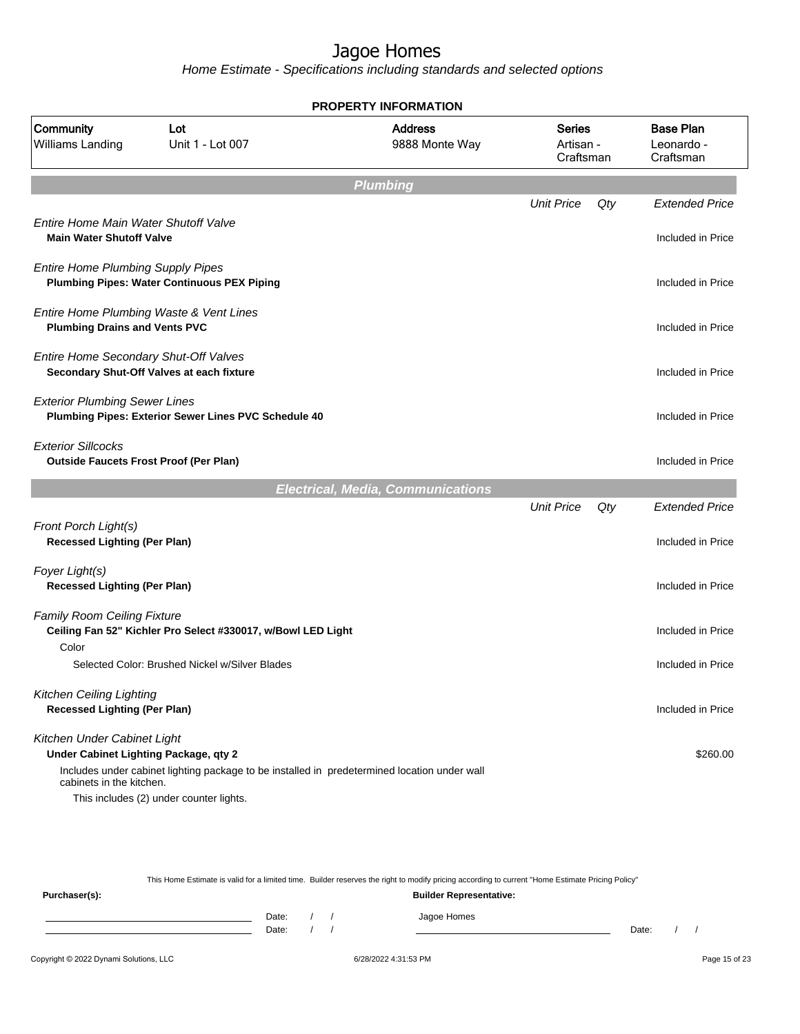Home Estimate - Specifications including standards and selected options

|                                                                            |                                                              | <b>PROPERTY INFORMATION</b>                                                                  |                                         |        |                                             |
|----------------------------------------------------------------------------|--------------------------------------------------------------|----------------------------------------------------------------------------------------------|-----------------------------------------|--------|---------------------------------------------|
| Community<br><b>Williams Landing</b>                                       | Lot<br>Unit 1 - Lot 007                                      | <b>Address</b><br>9888 Monte Way                                                             | <b>Series</b><br>Artisan -<br>Craftsman |        | <b>Base Plan</b><br>Leonardo -<br>Craftsman |
|                                                                            |                                                              | <b>Plumbing</b>                                                                              |                                         |        |                                             |
|                                                                            |                                                              |                                                                                              | <b>Unit Price</b>                       | $Q$ ty | <b>Extended Price</b>                       |
| Entire Home Main Water Shutoff Valve<br><b>Main Water Shutoff Valve</b>    |                                                              |                                                                                              |                                         |        | Included in Price                           |
| <b>Entire Home Plumbing Supply Pipes</b>                                   | <b>Plumbing Pipes: Water Continuous PEX Piping</b>           |                                                                                              |                                         |        | Included in Price                           |
| <b>Plumbing Drains and Vents PVC</b>                                       | Entire Home Plumbing Waste & Vent Lines                      |                                                                                              |                                         |        | Included in Price                           |
| Entire Home Secondary Shut-Off Valves                                      | Secondary Shut-Off Valves at each fixture                    |                                                                                              |                                         |        | Included in Price                           |
| <b>Exterior Plumbing Sewer Lines</b>                                       | Plumbing Pipes: Exterior Sewer Lines PVC Schedule 40         |                                                                                              |                                         |        | Included in Price                           |
| <b>Exterior Sillcocks</b><br><b>Outside Faucets Frost Proof (Per Plan)</b> |                                                              |                                                                                              |                                         |        | Included in Price                           |
|                                                                            |                                                              | <b>Electrical, Media, Communications</b>                                                     |                                         |        |                                             |
|                                                                            |                                                              |                                                                                              | <b>Unit Price</b>                       | Qty    | <b>Extended Price</b>                       |
| Front Porch Light(s)<br><b>Recessed Lighting (Per Plan)</b>                |                                                              |                                                                                              |                                         |        | Included in Price                           |
| Foyer Light(s)<br><b>Recessed Lighting (Per Plan)</b>                      |                                                              |                                                                                              |                                         |        | Included in Price                           |
| <b>Family Room Ceiling Fixture</b>                                         | Ceiling Fan 52" Kichler Pro Select #330017, w/Bowl LED Light |                                                                                              |                                         |        | Included in Price                           |
| Color                                                                      | Selected Color: Brushed Nickel w/Silver Blades               |                                                                                              |                                         |        | Included in Price                           |
| <b>Kitchen Ceiling Lighting</b><br><b>Recessed Lighting (Per Plan)</b>     |                                                              |                                                                                              |                                         |        | Included in Price                           |
| Kitchen Under Cabinet Light<br>Under Cabinet Lighting Package, qty 2       |                                                              |                                                                                              |                                         |        | \$260.00                                    |
| cabinets in the kitchen.                                                   |                                                              | Includes under cabinet lighting package to be installed in predetermined location under wall |                                         |        |                                             |
|                                                                            | This includes (2) under counter lights.                      |                                                                                              |                                         |        |                                             |

This Home Estimate is valid for a limited time. Builder reserves the right to modify pricing according to current "Home Estimate Pricing Policy" **Purchaser(s): Builder Representative:** Date: / / Jagoe Homes<br>Date: / / Jagoe Homes Date: / / **Date: / / 2006** Date: / / / Date: / / / Date: / / / 2006 Date: / / / 2006 Date: / / / 2006 Date: / / / 2006 Date: / / / 2007 Date: / / / 2007 Date: / / / 2007 Date: / / / 2007 Date: / / / 2007 Date: / / / 2007 D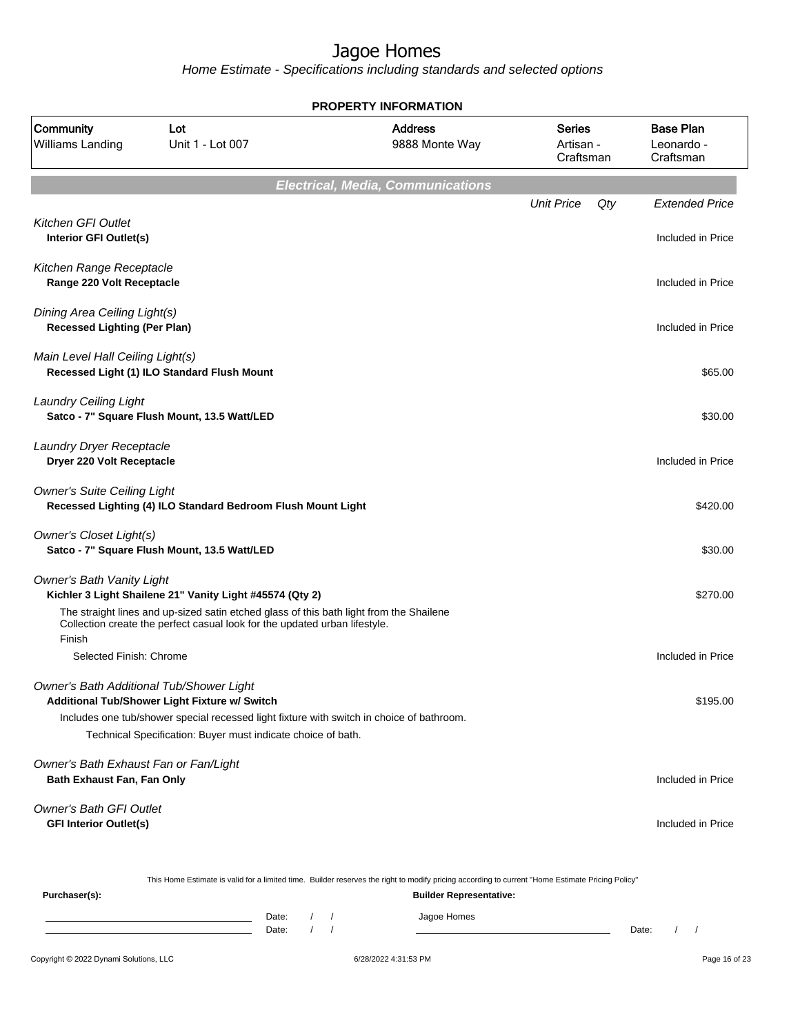Home Estimate - Specifications including standards and selected options

|                                                                     |                                                                            | <b>PROPERTY INFORMATION</b>                                                                                                                      |                                         |                                             |
|---------------------------------------------------------------------|----------------------------------------------------------------------------|--------------------------------------------------------------------------------------------------------------------------------------------------|-----------------------------------------|---------------------------------------------|
| Community<br>Williams Landing                                       | Lot<br>Unit 1 - Lot 007                                                    | <b>Address</b><br>9888 Monte Way                                                                                                                 | <b>Series</b><br>Artisan -<br>Craftsman | <b>Base Plan</b><br>Leonardo -<br>Craftsman |
|                                                                     |                                                                            | <b>Electrical, Media, Communications</b>                                                                                                         |                                         |                                             |
|                                                                     |                                                                            |                                                                                                                                                  | <b>Unit Price</b><br>Qty                | <b>Extended Price</b>                       |
| <b>Kitchen GFI Outlet</b><br>Interior GFI Outlet(s)                 |                                                                            |                                                                                                                                                  |                                         | Included in Price                           |
| Kitchen Range Receptacle<br>Range 220 Volt Receptacle               |                                                                            |                                                                                                                                                  |                                         | Included in Price                           |
| Dining Area Ceiling Light(s)<br><b>Recessed Lighting (Per Plan)</b> |                                                                            |                                                                                                                                                  |                                         | Included in Price                           |
| Main Level Hall Ceiling Light(s)                                    | Recessed Light (1) ILO Standard Flush Mount                                |                                                                                                                                                  |                                         | \$65.00                                     |
| Laundry Ceiling Light                                               | Satco - 7" Square Flush Mount, 13.5 Watt/LED                               |                                                                                                                                                  |                                         | \$30.00                                     |
| Laundry Dryer Receptacle<br>Dryer 220 Volt Receptacle               |                                                                            |                                                                                                                                                  |                                         | Included in Price                           |
| <b>Owner's Suite Ceiling Light</b>                                  | Recessed Lighting (4) ILO Standard Bedroom Flush Mount Light               |                                                                                                                                                  |                                         | \$420.00                                    |
| <b>Owner's Closet Light(s)</b>                                      | Satco - 7" Square Flush Mount, 13.5 Watt/LED                               |                                                                                                                                                  |                                         | \$30.00                                     |
| <b>Owner's Bath Vanity Light</b>                                    | Kichler 3 Light Shailene 21" Vanity Light #45574 (Qty 2)                   |                                                                                                                                                  |                                         | \$270.00                                    |
| Finish                                                              | Collection create the perfect casual look for the updated urban lifestyle. | The straight lines and up-sized satin etched glass of this bath light from the Shailene                                                          |                                         |                                             |
| Selected Finish: Chrome                                             |                                                                            |                                                                                                                                                  |                                         | Included in Price                           |
| Owner's Bath Additional Tub/Shower Light                            | Additional Tub/Shower Light Fixture w/ Switch                              |                                                                                                                                                  |                                         | \$195.00                                    |
|                                                                     | Technical Specification: Buyer must indicate choice of bath.               | Includes one tub/shower special recessed light fixture with switch in choice of bathroom.                                                        |                                         |                                             |
| Owner's Bath Exhaust Fan or Fan/Light<br>Bath Exhaust Fan, Fan Only |                                                                            |                                                                                                                                                  |                                         | Included in Price                           |
| <b>Owner's Bath GFI Outlet</b><br><b>GFI Interior Outlet(s)</b>     |                                                                            |                                                                                                                                                  |                                         | Included in Price                           |
|                                                                     |                                                                            | This Home Estimate is valid for a limited time. Builder reserves the right to modify pricing according to current "Home Estimate Pricing Policy" |                                         |                                             |
| Purchaser(s):                                                       |                                                                            | <b>Builder Representative:</b>                                                                                                                   |                                         |                                             |
|                                                                     | Date:                                                                      | Jagoe Homes                                                                                                                                      |                                         |                                             |

Date: / / Jagoe Homes  $\Box$  Date: / /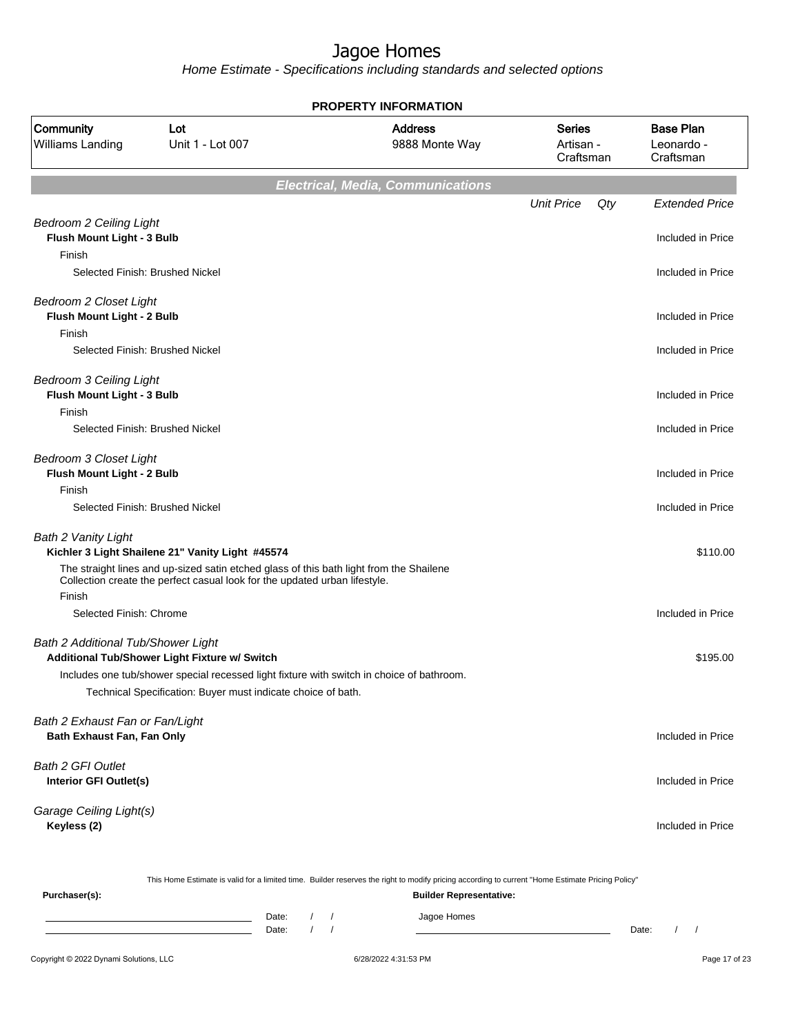Home Estimate - Specifications including standards and selected options

|                                                                        |                                                                                                                                                                       | <b>PROPERTY INFORMATION</b>                                                                                                                      |                                         |                                             |
|------------------------------------------------------------------------|-----------------------------------------------------------------------------------------------------------------------------------------------------------------------|--------------------------------------------------------------------------------------------------------------------------------------------------|-----------------------------------------|---------------------------------------------|
| Community<br>Williams Landing                                          | Lot<br>Unit 1 - Lot 007                                                                                                                                               | <b>Address</b><br>9888 Monte Way                                                                                                                 | <b>Series</b><br>Artisan -<br>Craftsman | <b>Base Plan</b><br>Leonardo -<br>Craftsman |
|                                                                        |                                                                                                                                                                       | <b>Electrical, Media, Communications</b>                                                                                                         |                                         |                                             |
|                                                                        |                                                                                                                                                                       |                                                                                                                                                  | <b>Unit Price</b><br>Qty                | <b>Extended Price</b>                       |
| <b>Bedroom 2 Ceiling Light</b><br>Flush Mount Light - 3 Bulb<br>Finish |                                                                                                                                                                       |                                                                                                                                                  |                                         | Included in Price                           |
|                                                                        | Selected Finish: Brushed Nickel                                                                                                                                       |                                                                                                                                                  |                                         | Included in Price                           |
| Bedroom 2 Closet Light<br>Flush Mount Light - 2 Bulb                   |                                                                                                                                                                       |                                                                                                                                                  |                                         | Included in Price                           |
| Finish                                                                 |                                                                                                                                                                       |                                                                                                                                                  |                                         |                                             |
|                                                                        | Selected Finish: Brushed Nickel                                                                                                                                       |                                                                                                                                                  |                                         | Included in Price                           |
| <b>Bedroom 3 Ceiling Light</b><br>Flush Mount Light - 3 Bulb           |                                                                                                                                                                       |                                                                                                                                                  |                                         | Included in Price                           |
| Finish                                                                 | Selected Finish: Brushed Nickel                                                                                                                                       |                                                                                                                                                  |                                         | Included in Price                           |
| Bedroom 3 Closet Light<br>Flush Mount Light - 2 Bulb<br>Finish         |                                                                                                                                                                       |                                                                                                                                                  |                                         | Included in Price                           |
|                                                                        | Selected Finish: Brushed Nickel                                                                                                                                       |                                                                                                                                                  |                                         | Included in Price                           |
| Bath 2 Vanity Light                                                    | Kichler 3 Light Shailene 21" Vanity Light #45574                                                                                                                      |                                                                                                                                                  |                                         | \$110.00                                    |
| Finish                                                                 | The straight lines and up-sized satin etched glass of this bath light from the Shailene<br>Collection create the perfect casual look for the updated urban lifestyle. |                                                                                                                                                  |                                         |                                             |
| Selected Finish: Chrome                                                |                                                                                                                                                                       |                                                                                                                                                  |                                         | Included in Price                           |
| Bath 2 Additional Tub/Shower Light                                     | Additional Tub/Shower Light Fixture w/ Switch                                                                                                                         |                                                                                                                                                  |                                         | \$195.00                                    |
|                                                                        | Includes one tub/shower special recessed light fixture with switch in choice of bathroom.                                                                             |                                                                                                                                                  |                                         |                                             |
|                                                                        | Technical Specification: Buyer must indicate choice of bath.                                                                                                          |                                                                                                                                                  |                                         |                                             |
| Bath 2 Exhaust Fan or Fan/Light<br>Bath Exhaust Fan, Fan Only          |                                                                                                                                                                       |                                                                                                                                                  |                                         | Included in Price                           |
| <b>Bath 2 GFI Outlet</b><br>Interior GFI Outlet(s)                     |                                                                                                                                                                       |                                                                                                                                                  |                                         | Included in Price                           |
| Garage Ceiling Light(s)<br>Keyless (2)                                 |                                                                                                                                                                       |                                                                                                                                                  |                                         | Included in Price                           |
|                                                                        |                                                                                                                                                                       | This Home Estimate is valid for a limited time. Builder reserves the right to modify pricing according to current "Home Estimate Pricing Policy" |                                         |                                             |
| Purchaser(s):                                                          |                                                                                                                                                                       | <b>Builder Representative:</b>                                                                                                                   |                                         |                                             |

Date: / / Jagoe Homes<br>Date: / / Jagoe Homes Date: / / Date: / /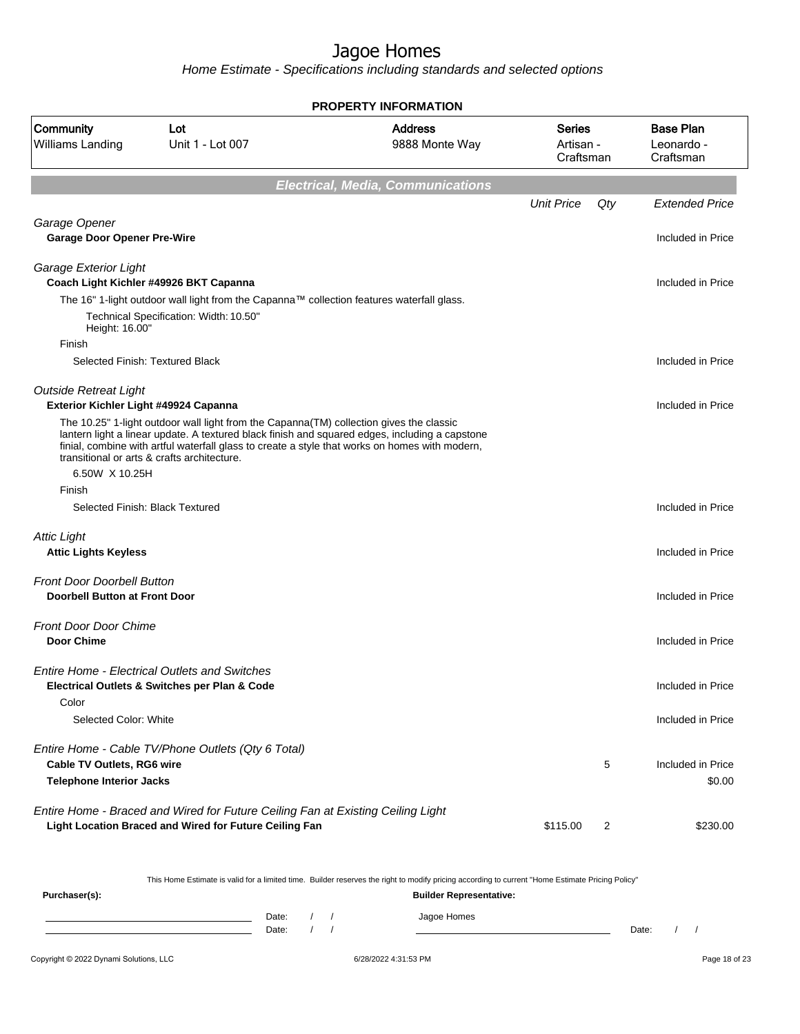Home Estimate - Specifications including standards and selected options

|                                                                       |                                                                                                                                                                                                                                                                                                                                            | <b>PROPERTY INFORMATION</b>              |                                         |     |                                             |
|-----------------------------------------------------------------------|--------------------------------------------------------------------------------------------------------------------------------------------------------------------------------------------------------------------------------------------------------------------------------------------------------------------------------------------|------------------------------------------|-----------------------------------------|-----|---------------------------------------------|
| Community<br>Williams Landing                                         | Lot<br>Unit 1 - Lot 007                                                                                                                                                                                                                                                                                                                    | <b>Address</b><br>9888 Monte Way         | <b>Series</b><br>Artisan -<br>Craftsman |     | <b>Base Plan</b><br>Leonardo -<br>Craftsman |
|                                                                       |                                                                                                                                                                                                                                                                                                                                            | <b>Electrical, Media, Communications</b> |                                         |     |                                             |
|                                                                       |                                                                                                                                                                                                                                                                                                                                            |                                          | <b>Unit Price</b>                       | Qty | <b>Extended Price</b>                       |
| Garage Opener<br><b>Garage Door Opener Pre-Wire</b>                   |                                                                                                                                                                                                                                                                                                                                            |                                          |                                         |     | Included in Price                           |
| Garage Exterior Light                                                 | Coach Light Kichler #49926 BKT Capanna                                                                                                                                                                                                                                                                                                     |                                          |                                         |     | Included in Price                           |
|                                                                       | The 16" 1-light outdoor wall light from the Capanna™ collection features waterfall glass.                                                                                                                                                                                                                                                  |                                          |                                         |     |                                             |
| Height: 16.00"                                                        | Technical Specification: Width: 10.50"                                                                                                                                                                                                                                                                                                     |                                          |                                         |     |                                             |
| Finish                                                                | Selected Finish: Textured Black                                                                                                                                                                                                                                                                                                            |                                          |                                         |     | Included in Price                           |
|                                                                       |                                                                                                                                                                                                                                                                                                                                            |                                          |                                         |     |                                             |
| <b>Outside Retreat Light</b><br>Exterior Kichler Light #49924 Capanna |                                                                                                                                                                                                                                                                                                                                            |                                          |                                         |     | Included in Price                           |
|                                                                       | The 10.25" 1-light outdoor wall light from the Capanna(TM) collection gives the classic<br>lantern light a linear update. A textured black finish and squared edges, including a capstone<br>finial, combine with artful waterfall glass to create a style that works on homes with modern,<br>transitional or arts & crafts architecture. |                                          |                                         |     |                                             |
| 6.50W X 10.25H                                                        |                                                                                                                                                                                                                                                                                                                                            |                                          |                                         |     |                                             |
| Finish                                                                |                                                                                                                                                                                                                                                                                                                                            |                                          |                                         |     |                                             |
|                                                                       | Selected Finish: Black Textured                                                                                                                                                                                                                                                                                                            |                                          |                                         |     | Included in Price                           |
| <b>Attic Light</b>                                                    |                                                                                                                                                                                                                                                                                                                                            |                                          |                                         |     |                                             |
| <b>Attic Lights Keyless</b>                                           |                                                                                                                                                                                                                                                                                                                                            |                                          |                                         |     | Included in Price                           |
| <b>Front Door Doorbell Button</b>                                     |                                                                                                                                                                                                                                                                                                                                            |                                          |                                         |     |                                             |
| <b>Doorbell Button at Front Door</b>                                  |                                                                                                                                                                                                                                                                                                                                            |                                          |                                         |     | Included in Price                           |
| <b>Front Door Door Chime</b>                                          |                                                                                                                                                                                                                                                                                                                                            |                                          |                                         |     |                                             |
| Door Chime                                                            |                                                                                                                                                                                                                                                                                                                                            |                                          |                                         |     | Included in Price                           |
|                                                                       | <b>Entire Home - Electrical Outlets and Switches</b>                                                                                                                                                                                                                                                                                       |                                          |                                         |     |                                             |
|                                                                       | Electrical Outlets & Switches per Plan & Code                                                                                                                                                                                                                                                                                              |                                          |                                         |     | Included in Price                           |
| Color                                                                 |                                                                                                                                                                                                                                                                                                                                            |                                          |                                         |     |                                             |
| Selected Color: White                                                 |                                                                                                                                                                                                                                                                                                                                            |                                          |                                         |     | Included in Price                           |
|                                                                       | Entire Home - Cable TV/Phone Outlets (Qty 6 Total)                                                                                                                                                                                                                                                                                         |                                          |                                         |     |                                             |
| <b>Cable TV Outlets, RG6 wire</b>                                     |                                                                                                                                                                                                                                                                                                                                            |                                          |                                         | 5   | Included in Price                           |
| <b>Telephone Interior Jacks</b>                                       |                                                                                                                                                                                                                                                                                                                                            |                                          |                                         |     | \$0.00                                      |
|                                                                       | Entire Home - Braced and Wired for Future Ceiling Fan at Existing Ceiling Light                                                                                                                                                                                                                                                            |                                          |                                         |     |                                             |
|                                                                       | Light Location Braced and Wired for Future Ceiling Fan                                                                                                                                                                                                                                                                                     |                                          | \$115.00                                | 2   | \$230.00                                    |
|                                                                       |                                                                                                                                                                                                                                                                                                                                            |                                          |                                         |     |                                             |

This Home Estimate is valid for a limited time. Builder reserves the right to modify pricing according to current "Home Estimate Pricing Policy"

| Purchaser(s): |                |  | <b>Builder Representative:</b> |       |  |
|---------------|----------------|--|--------------------------------|-------|--|
|               | Date:<br>Date: |  | Jagoe Homes                    | Date: |  |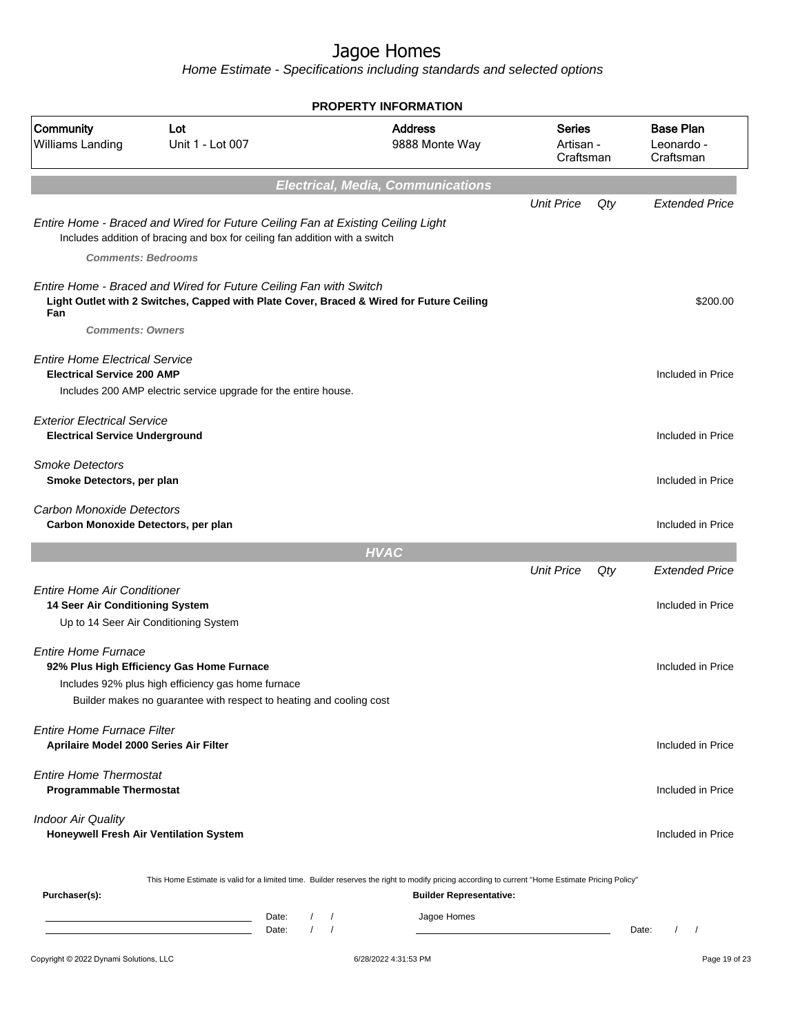| Community<br>Williams Landing                                               | Lot<br>Unit 1 - Lot 007                                                                                                                                                | <b>Address</b><br>9888 Monte Way                                                                                                                                                   | <b>Series</b><br>Artisan -<br>Craftsman |     | <b>Base Plan</b><br>Leonardo -<br>Craftsman |
|-----------------------------------------------------------------------------|------------------------------------------------------------------------------------------------------------------------------------------------------------------------|------------------------------------------------------------------------------------------------------------------------------------------------------------------------------------|-----------------------------------------|-----|---------------------------------------------|
|                                                                             |                                                                                                                                                                        | <b>Electrical, Media, Communications</b>                                                                                                                                           |                                         |     |                                             |
|                                                                             | Entire Home - Braced and Wired for Future Ceiling Fan at Existing Ceiling Light<br>Includes addition of bracing and box for ceiling fan addition with a switch         |                                                                                                                                                                                    | <b>Unit Price</b>                       | Qty | <b>Extended Price</b>                       |
| <b>Comments: Bedrooms</b>                                                   |                                                                                                                                                                        |                                                                                                                                                                                    |                                         |     |                                             |
| Fan                                                                         | Entire Home - Braced and Wired for Future Ceiling Fan with Switch<br>Light Outlet with 2 Switches, Capped with Plate Cover, Braced & Wired for Future Ceiling          |                                                                                                                                                                                    |                                         |     | \$200.00                                    |
| <b>Comments: Owners</b>                                                     |                                                                                                                                                                        |                                                                                                                                                                                    |                                         |     |                                             |
| <b>Entire Home Electrical Service</b><br><b>Electrical Service 200 AMP</b>  | Includes 200 AMP electric service upgrade for the entire house.                                                                                                        |                                                                                                                                                                                    |                                         |     | Included in Price                           |
|                                                                             |                                                                                                                                                                        |                                                                                                                                                                                    |                                         |     |                                             |
| <b>Exterior Electrical Service</b><br><b>Electrical Service Underground</b> |                                                                                                                                                                        |                                                                                                                                                                                    |                                         |     | Included in Price                           |
| <b>Smoke Detectors</b><br>Smoke Detectors, per plan                         |                                                                                                                                                                        |                                                                                                                                                                                    |                                         |     | Included in Price                           |
| Carbon Monoxide Detectors<br>Carbon Monoxide Detectors, per plan            |                                                                                                                                                                        |                                                                                                                                                                                    |                                         |     | Included in Price                           |
|                                                                             |                                                                                                                                                                        | <b>HVAC</b>                                                                                                                                                                        |                                         |     |                                             |
|                                                                             |                                                                                                                                                                        |                                                                                                                                                                                    | <b>Unit Price</b>                       | Qty | <b>Extended Price</b>                       |
| <b>Entire Home Air Conditioner</b><br>14 Seer Air Conditioning System       | Up to 14 Seer Air Conditioning System                                                                                                                                  |                                                                                                                                                                                    |                                         |     | Included in Price                           |
| <b>Entire Home Furnace</b>                                                  | 92% Plus High Efficiency Gas Home Furnace<br>Includes 92% plus high efficiency gas home furnace<br>Builder makes no guarantee with respect to heating and cooling cost |                                                                                                                                                                                    |                                         |     | Included in Price                           |
| <b>Entire Home Furnace Filter</b><br>Aprilaire Model 2000 Series Air Filter |                                                                                                                                                                        |                                                                                                                                                                                    |                                         |     | Included in Price                           |
| <b>Entire Home Thermostat</b><br><b>Programmable Thermostat</b>             |                                                                                                                                                                        |                                                                                                                                                                                    |                                         |     | Included in Price                           |
| <b>Indoor Air Quality</b><br>Honeywell Fresh Air Ventilation System         |                                                                                                                                                                        |                                                                                                                                                                                    |                                         |     | Included in Price                           |
| Purchaser(s):                                                               |                                                                                                                                                                        | This Home Estimate is valid for a limited time. Builder reserves the right to modify pricing according to current "Home Estimate Pricing Policy"<br><b>Builder Representative:</b> |                                         |     |                                             |
|                                                                             | Date:<br>the control of the control of the control of the                                                                                                              | Jagoe Homes<br>$\sqrt{ }$                                                                                                                                                          |                                         |     |                                             |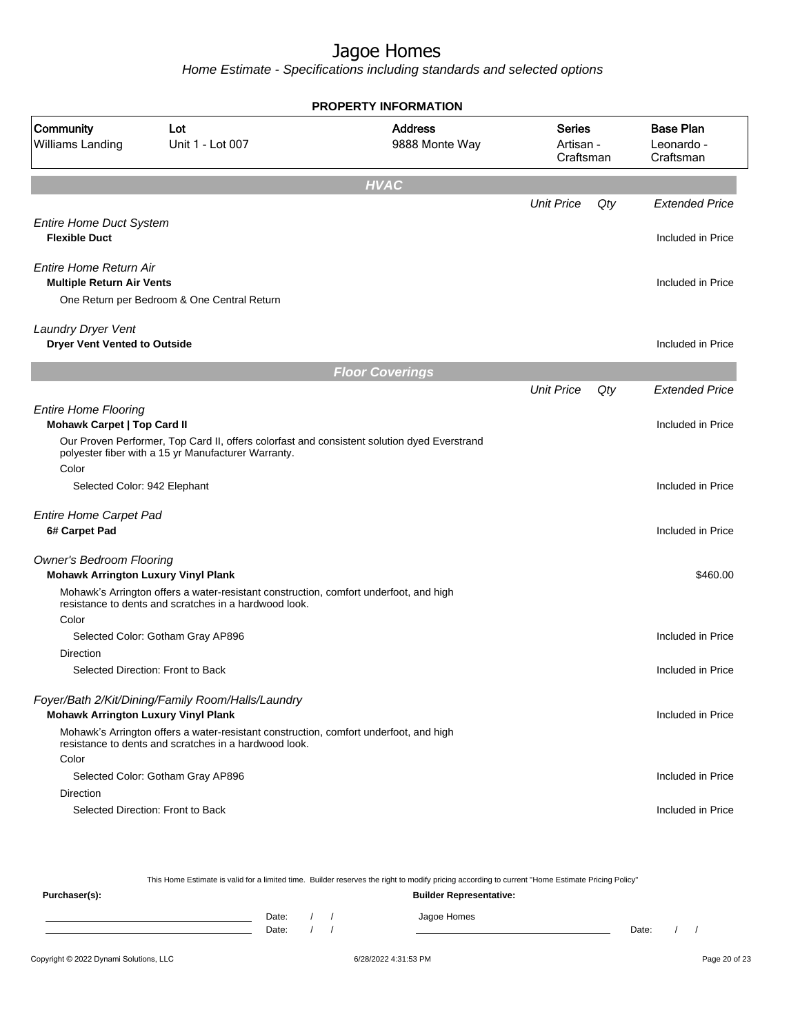|                                                                               |                                                                                                                                                                                                     | <b>PROPERTY INFORMATION</b>      |                                         |     |                                             |
|-------------------------------------------------------------------------------|-----------------------------------------------------------------------------------------------------------------------------------------------------------------------------------------------------|----------------------------------|-----------------------------------------|-----|---------------------------------------------|
| Community<br><b>Williams Landing</b>                                          | Lot<br>Unit 1 - Lot 007                                                                                                                                                                             | <b>Address</b><br>9888 Monte Way | <b>Series</b><br>Artisan -<br>Craftsman |     | <b>Base Plan</b><br>Leonardo -<br>Craftsman |
|                                                                               |                                                                                                                                                                                                     | <b>HVAC</b>                      |                                         |     |                                             |
|                                                                               |                                                                                                                                                                                                     |                                  | <b>Unit Price</b>                       | Qty | <b>Extended Price</b>                       |
| <b>Entire Home Duct System</b><br><b>Flexible Duct</b>                        |                                                                                                                                                                                                     |                                  |                                         |     | Included in Price                           |
| Entire Home Return Air<br><b>Multiple Return Air Vents</b>                    | One Return per Bedroom & One Central Return                                                                                                                                                         |                                  |                                         |     | Included in Price                           |
| Laundry Dryer Vent<br><b>Dryer Vent Vented to Outside</b>                     |                                                                                                                                                                                                     |                                  |                                         |     | Included in Price                           |
|                                                                               |                                                                                                                                                                                                     | <b>Floor Coverings</b>           |                                         |     |                                             |
|                                                                               |                                                                                                                                                                                                     |                                  | <b>Unit Price</b>                       | Qty | <b>Extended Price</b>                       |
| <b>Entire Home Flooring</b><br>Mohawk Carpet   Top Card II                    | Our Proven Performer, Top Card II, offers colorfast and consistent solution dyed Everstrand<br>polyester fiber with a 15 yr Manufacturer Warranty.                                                  |                                  |                                         |     | Included in Price                           |
| Color<br>Selected Color: 942 Elephant                                         |                                                                                                                                                                                                     |                                  |                                         |     | Included in Price                           |
| <b>Entire Home Carpet Pad</b><br>6# Carpet Pad                                |                                                                                                                                                                                                     |                                  |                                         |     | Included in Price                           |
| <b>Owner's Bedroom Flooring</b><br><b>Mohawk Arrington Luxury Vinyl Plank</b> | Mohawk's Arrington offers a water-resistant construction, comfort underfoot, and high<br>resistance to dents and scratches in a hardwood look.                                                      |                                  |                                         |     | \$460.00                                    |
| Color                                                                         |                                                                                                                                                                                                     |                                  |                                         |     |                                             |
| <b>Direction</b>                                                              | Selected Color: Gotham Gray AP896                                                                                                                                                                   |                                  |                                         |     | Included in Price                           |
|                                                                               | Selected Direction: Front to Back                                                                                                                                                                   |                                  |                                         |     | Included in Price                           |
| <b>Mohawk Arrington Luxury Vinyl Plank</b>                                    | Foyer/Bath 2/Kit/Dining/Family Room/Halls/Laundry<br>Mohawk's Arrington offers a water-resistant construction, comfort underfoot, and high<br>resistance to dents and scratches in a hardwood look. |                                  |                                         |     | Included in Price                           |
| Color                                                                         |                                                                                                                                                                                                     |                                  |                                         |     | Included in Price                           |
| Direction                                                                     | Selected Color: Gotham Gray AP896                                                                                                                                                                   |                                  |                                         |     |                                             |
|                                                                               | Selected Direction: Front to Back                                                                                                                                                                   |                                  |                                         |     | Included in Price                           |

| This Home Estimate is valid for a limited time. Builder reserves the right to modify pricing according to current "Home Estimate Pricing Policy" |                                |       |  |  |             |       |  |  |
|--------------------------------------------------------------------------------------------------------------------------------------------------|--------------------------------|-------|--|--|-------------|-------|--|--|
| Purchaser(s):                                                                                                                                    | <b>Builder Representative:</b> |       |  |  |             |       |  |  |
|                                                                                                                                                  |                                | Date: |  |  | Jagoe Homes |       |  |  |
|                                                                                                                                                  |                                | Date: |  |  |             | Date: |  |  |
|                                                                                                                                                  |                                |       |  |  |             |       |  |  |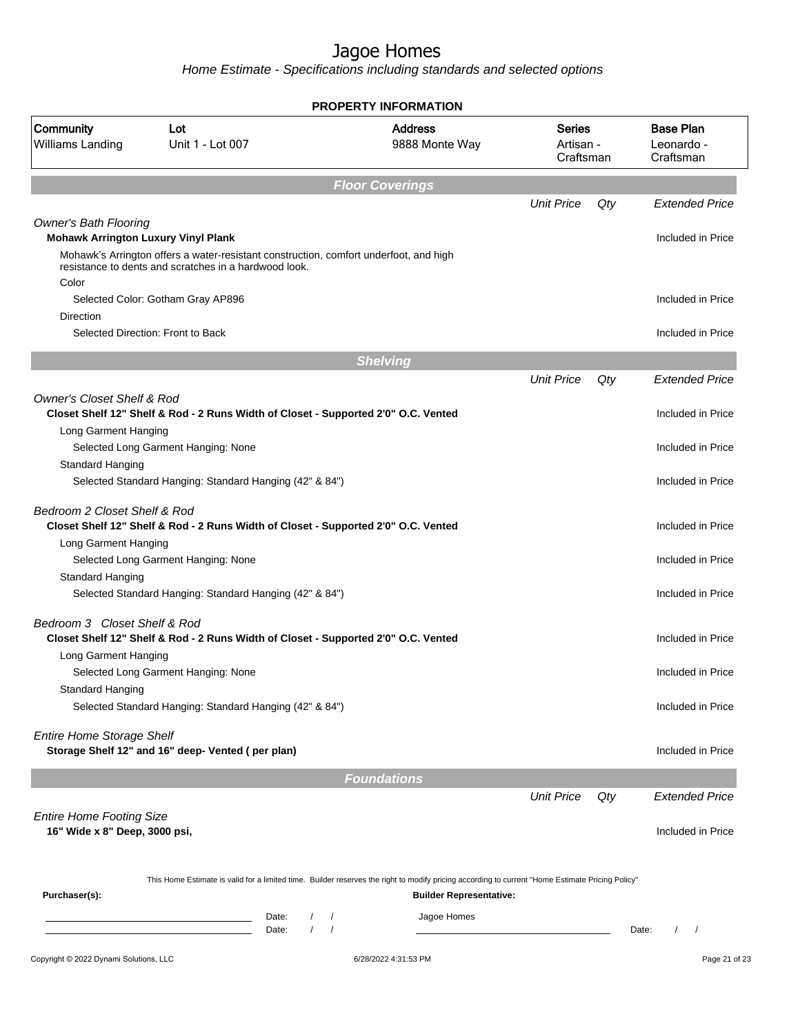|                                                                            |                                                                                                                                                | <b>PROPERTY INFORMATION</b>                                                                                                                      |                                         |     |                                             |
|----------------------------------------------------------------------------|------------------------------------------------------------------------------------------------------------------------------------------------|--------------------------------------------------------------------------------------------------------------------------------------------------|-----------------------------------------|-----|---------------------------------------------|
| Community<br>Williams Landing                                              | Lot<br>Unit 1 - Lot 007                                                                                                                        | <b>Address</b><br>9888 Monte Way                                                                                                                 | <b>Series</b><br>Artisan -<br>Craftsman |     | <b>Base Plan</b><br>Leonardo -<br>Craftsman |
|                                                                            |                                                                                                                                                | <b>Floor Coverings</b>                                                                                                                           |                                         |     |                                             |
|                                                                            |                                                                                                                                                |                                                                                                                                                  | <b>Unit Price</b>                       | Qty | <b>Extended Price</b>                       |
| <b>Owner's Bath Flooring</b><br><b>Mohawk Arrington Luxury Vinyl Plank</b> |                                                                                                                                                |                                                                                                                                                  |                                         |     | Included in Price                           |
|                                                                            | Mohawk's Arrington offers a water-resistant construction, comfort underfoot, and high<br>resistance to dents and scratches in a hardwood look. |                                                                                                                                                  |                                         |     |                                             |
| Color                                                                      | Selected Color: Gotham Gray AP896                                                                                                              |                                                                                                                                                  |                                         |     | Included in Price                           |
| <b>Direction</b>                                                           |                                                                                                                                                |                                                                                                                                                  |                                         |     |                                             |
|                                                                            | Selected Direction: Front to Back                                                                                                              |                                                                                                                                                  |                                         |     | Included in Price                           |
|                                                                            |                                                                                                                                                | <b>Shelving</b>                                                                                                                                  |                                         |     |                                             |
|                                                                            |                                                                                                                                                |                                                                                                                                                  | <b>Unit Price</b>                       | Qty | <b>Extended Price</b>                       |
| <b>Owner's Closet Shelf &amp; Rod</b>                                      |                                                                                                                                                |                                                                                                                                                  |                                         |     |                                             |
|                                                                            | Closet Shelf 12" Shelf & Rod - 2 Runs Width of Closet - Supported 2'0" O.C. Vented                                                             |                                                                                                                                                  |                                         |     | Included in Price                           |
| Long Garment Hanging                                                       |                                                                                                                                                |                                                                                                                                                  |                                         |     |                                             |
|                                                                            | Selected Long Garment Hanging: None                                                                                                            |                                                                                                                                                  |                                         |     | Included in Price                           |
| Standard Hanging                                                           | Selected Standard Hanging: Standard Hanging (42" & 84")                                                                                        |                                                                                                                                                  |                                         |     | Included in Price                           |
| Bedroom 2 Closet Shelf & Rod                                               | Closet Shelf 12" Shelf & Rod - 2 Runs Width of Closet - Supported 2'0" O.C. Vented                                                             |                                                                                                                                                  |                                         |     | Included in Price                           |
| Long Garment Hanging                                                       |                                                                                                                                                |                                                                                                                                                  |                                         |     |                                             |
|                                                                            | Selected Long Garment Hanging: None                                                                                                            |                                                                                                                                                  |                                         |     | Included in Price                           |
| Standard Hanging                                                           | Selected Standard Hanging: Standard Hanging (42" & 84")                                                                                        |                                                                                                                                                  |                                         |     | Included in Price                           |
|                                                                            |                                                                                                                                                |                                                                                                                                                  |                                         |     |                                             |
| Bedroom 3 Closet Shelf & Rod                                               | Closet Shelf 12" Shelf & Rod - 2 Runs Width of Closet - Supported 2'0" O.C. Vented                                                             |                                                                                                                                                  |                                         |     | Included in Price                           |
| Long Garment Hanging                                                       |                                                                                                                                                |                                                                                                                                                  |                                         |     | Included in Price                           |
| Standard Hanging                                                           | Selected Long Garment Hanging: None                                                                                                            |                                                                                                                                                  |                                         |     |                                             |
|                                                                            | Selected Standard Hanging: Standard Hanging (42" & 84")                                                                                        |                                                                                                                                                  |                                         |     | Included in Price                           |
| <b>Entire Home Storage Shelf</b>                                           | Storage Shelf 12" and 16" deep- Vented (per plan)                                                                                              |                                                                                                                                                  |                                         |     | Included in Price                           |
|                                                                            |                                                                                                                                                | <b>Foundations</b>                                                                                                                               |                                         |     |                                             |
|                                                                            |                                                                                                                                                |                                                                                                                                                  | <b>Unit Price</b>                       | Qty | <b>Extended Price</b>                       |
| <b>Entire Home Footing Size</b><br>16" Wide x 8" Deep, 3000 psi,           |                                                                                                                                                |                                                                                                                                                  |                                         |     | Included in Price                           |
|                                                                            |                                                                                                                                                | This Home Estimate is valid for a limited time. Builder reserves the right to modify pricing according to current "Home Estimate Pricing Policy" |                                         |     |                                             |
| Purchaser(s):                                                              | Date:<br><u> 1989 - Johann Barn, mars eta inperiodo</u>                                                                                        | <b>Builder Representative:</b><br>Jagoe Homes<br>$\prime$                                                                                        |                                         |     |                                             |
|                                                                            | $\prime$<br>Date:                                                                                                                              | $\prime$                                                                                                                                         |                                         |     | Date:                                       |
| Copyright © 2022 Dynami Solutions, LLC                                     |                                                                                                                                                | 6/28/2022 4:31:53 PM                                                                                                                             |                                         |     | Page 21 of 23                               |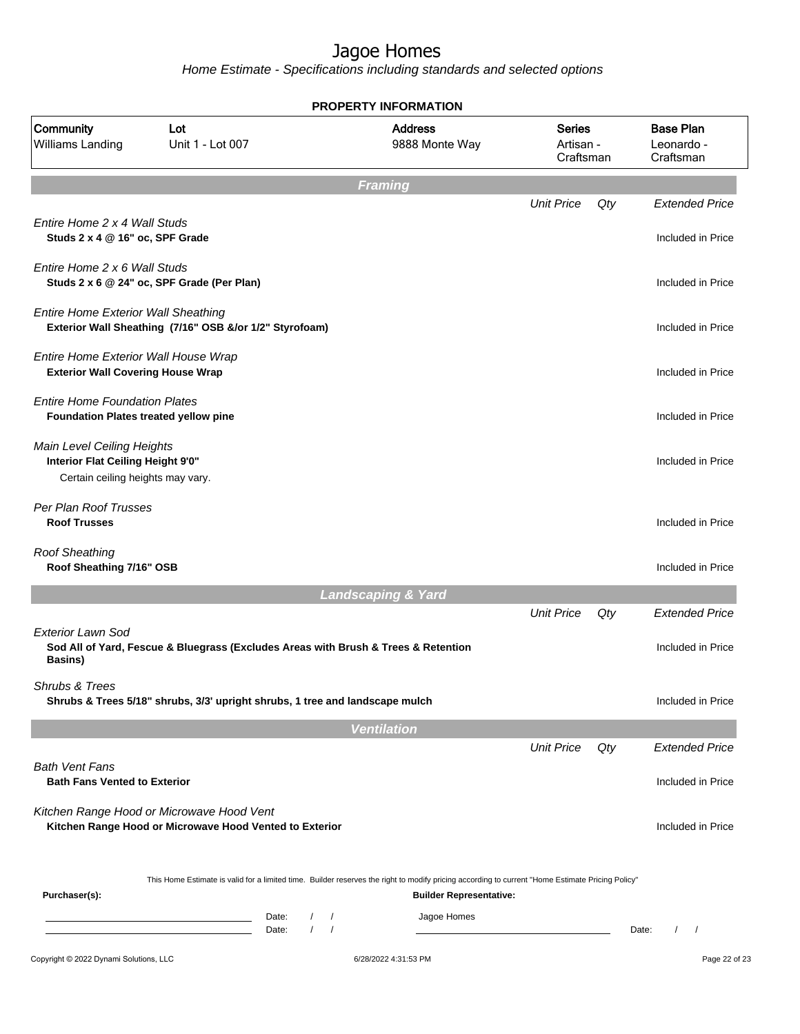|                                                                                                      |                                                                                                                                                  |                               | <b>PROPERTY INFORMATION</b>      |                                         |     |                                             |
|------------------------------------------------------------------------------------------------------|--------------------------------------------------------------------------------------------------------------------------------------------------|-------------------------------|----------------------------------|-----------------------------------------|-----|---------------------------------------------|
| Community<br>Williams Landing                                                                        | Lot<br>Unit 1 - Lot 007                                                                                                                          |                               | <b>Address</b><br>9888 Monte Way | <b>Series</b><br>Artisan -<br>Craftsman |     | <b>Base Plan</b><br>Leonardo -<br>Craftsman |
|                                                                                                      |                                                                                                                                                  | <b>Framing</b>                |                                  |                                         |     |                                             |
| Entire Home 2 x 4 Wall Studs<br>Studs 2 x 4 @ 16" oc, SPF Grade                                      |                                                                                                                                                  |                               |                                  | <b>Unit Price</b>                       | Qty | <b>Extended Price</b><br>Included in Price  |
|                                                                                                      |                                                                                                                                                  |                               |                                  |                                         |     |                                             |
| Entire Home 2 x 6 Wall Studs                                                                         | Studs 2 x 6 @ 24" oc, SPF Grade (Per Plan)                                                                                                       |                               |                                  |                                         |     | Included in Price                           |
| <b>Entire Home Exterior Wall Sheathing</b>                                                           | Exterior Wall Sheathing (7/16" OSB &/or 1/2" Styrofoam)                                                                                          |                               |                                  |                                         |     | Included in Price                           |
| Entire Home Exterior Wall House Wrap<br><b>Exterior Wall Covering House Wrap</b>                     |                                                                                                                                                  |                               |                                  |                                         |     | Included in Price                           |
| <b>Entire Home Foundation Plates</b><br>Foundation Plates treated yellow pine                        |                                                                                                                                                  |                               |                                  |                                         |     | Included in Price                           |
| Main Level Ceiling Heights<br>Interior Flat Ceiling Height 9'0"<br>Certain ceiling heights may vary. |                                                                                                                                                  |                               |                                  |                                         |     | Included in Price                           |
| Per Plan Roof Trusses<br><b>Roof Trusses</b>                                                         |                                                                                                                                                  |                               |                                  |                                         |     | Included in Price                           |
| <b>Roof Sheathing</b><br>Roof Sheathing 7/16" OSB                                                    |                                                                                                                                                  |                               |                                  |                                         |     | Included in Price                           |
|                                                                                                      |                                                                                                                                                  | <b>Landscaping &amp; Yard</b> |                                  |                                         |     |                                             |
|                                                                                                      |                                                                                                                                                  |                               |                                  | <b>Unit Price</b>                       | Qty | <b>Extended Price</b>                       |
| <b>Exterior Lawn Sod</b><br>Basins)                                                                  | Sod All of Yard, Fescue & Bluegrass (Excludes Areas with Brush & Trees & Retention                                                               |                               |                                  |                                         |     | Included in Price                           |
| Shrubs & Trees                                                                                       | Shrubs & Trees 5/18" shrubs, 3/3' upright shrubs, 1 tree and landscape mulch                                                                     |                               |                                  |                                         |     | Included in Price                           |
|                                                                                                      |                                                                                                                                                  | <b>Ventilation</b>            |                                  |                                         |     |                                             |
|                                                                                                      |                                                                                                                                                  |                               |                                  | <b>Unit Price</b>                       | Qty | <b>Extended Price</b>                       |
| <b>Bath Vent Fans</b><br><b>Bath Fans Vented to Exterior</b>                                         |                                                                                                                                                  |                               |                                  |                                         |     | Included in Price                           |
|                                                                                                      | Kitchen Range Hood or Microwave Hood Vent<br>Kitchen Range Hood or Microwave Hood Vented to Exterior                                             |                               |                                  |                                         |     | Included in Price                           |
| Purchaser(s):                                                                                        | This Home Estimate is valid for a limited time. Builder reserves the right to modify pricing according to current "Home Estimate Pricing Policy" |                               | <b>Builder Representative:</b>   |                                         |     |                                             |
|                                                                                                      | Date:<br>$\prime$<br>Date:                                                                                                                       | $\prime$<br>$\sqrt{ }$        | Jagoe Homes                      |                                         |     | $\prime$<br>Date:<br>$\prime$               |
| Copyright © 2022 Dynami Solutions, LLC                                                               |                                                                                                                                                  |                               | 6/28/2022 4:31:53 PM             |                                         |     | Page 22 of 23                               |